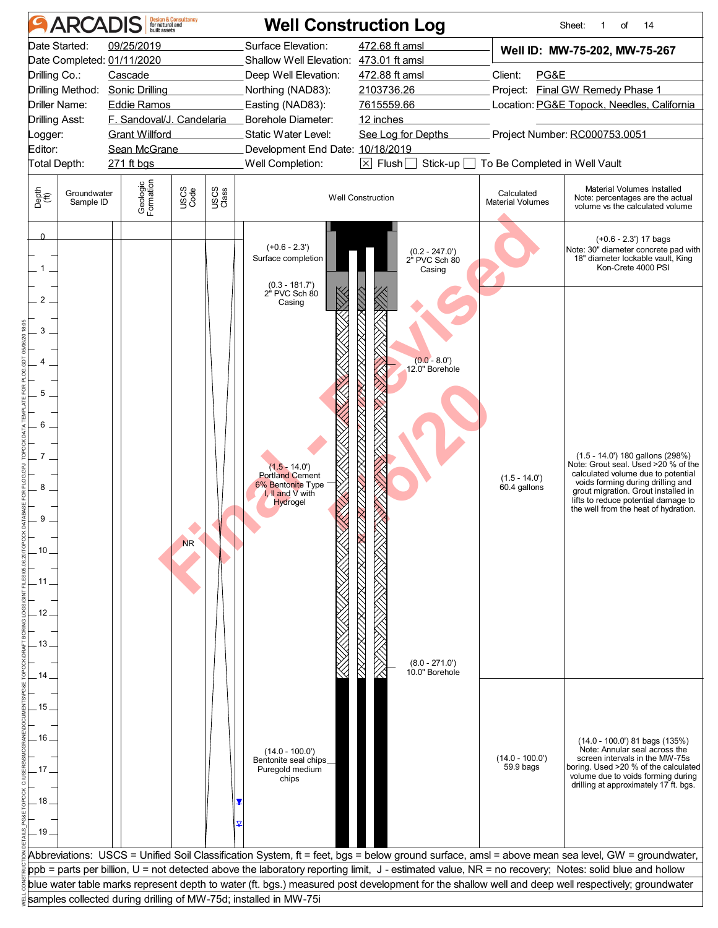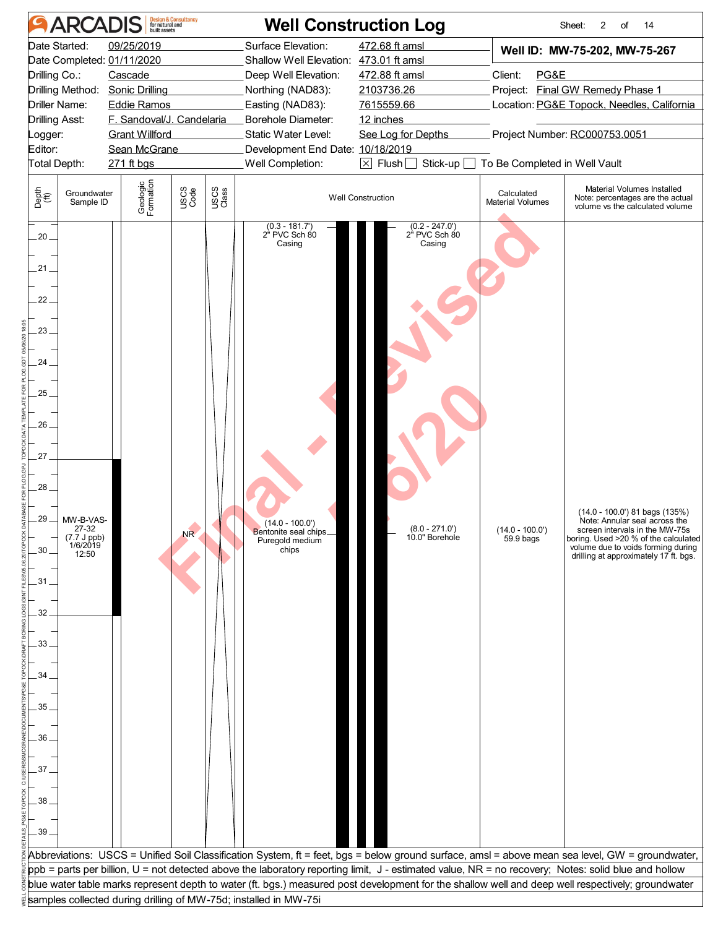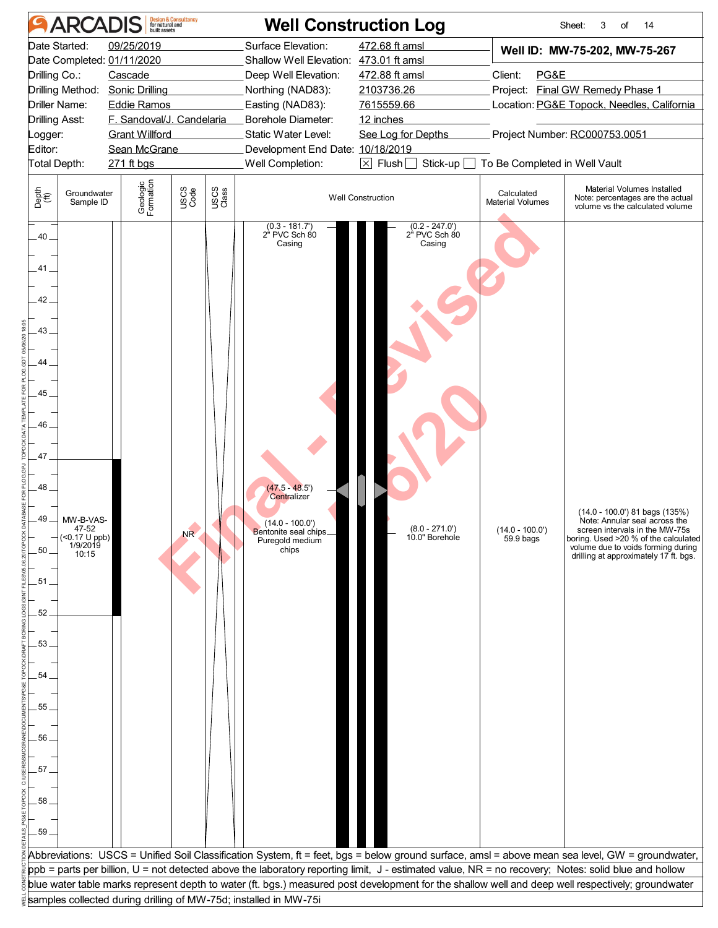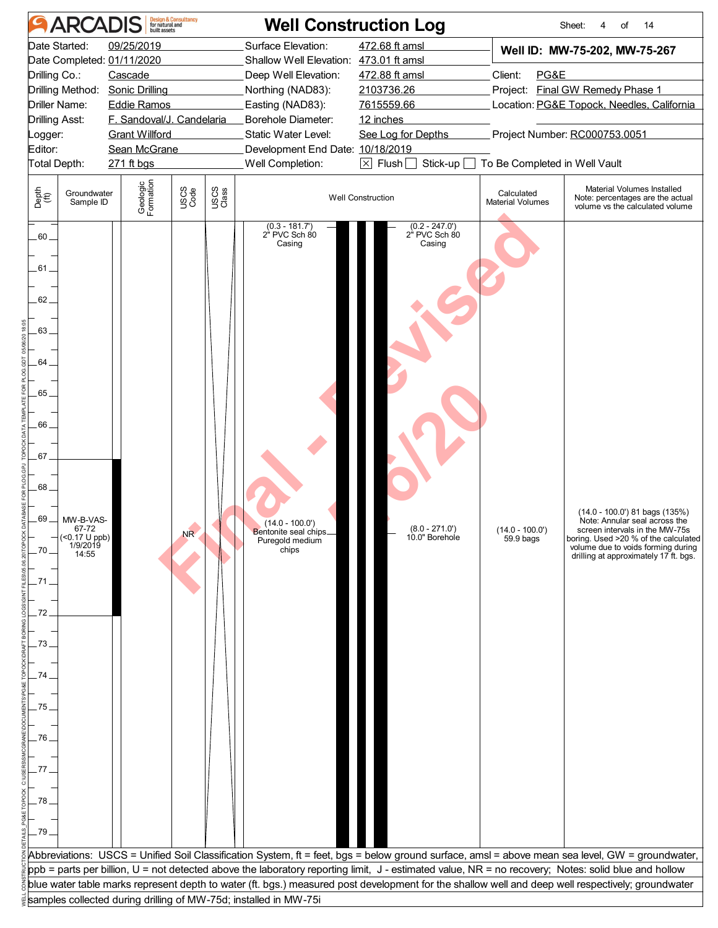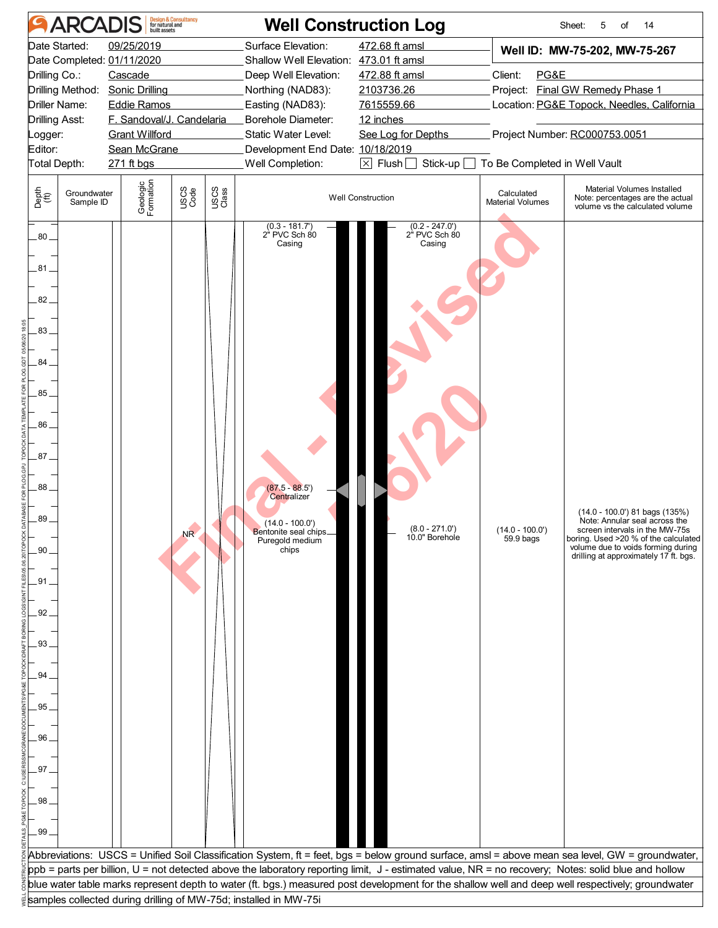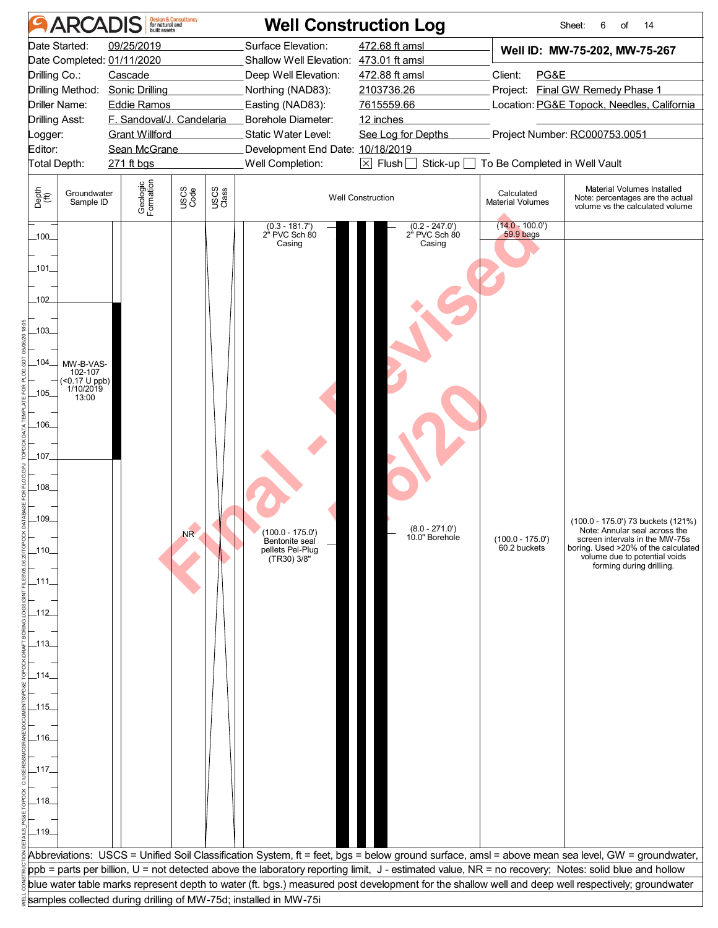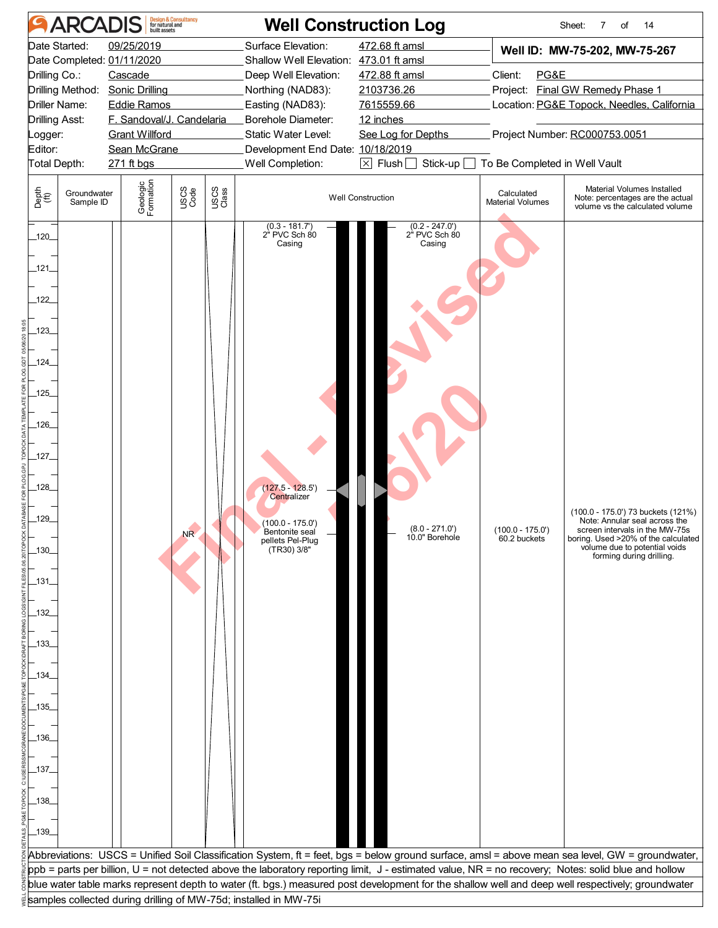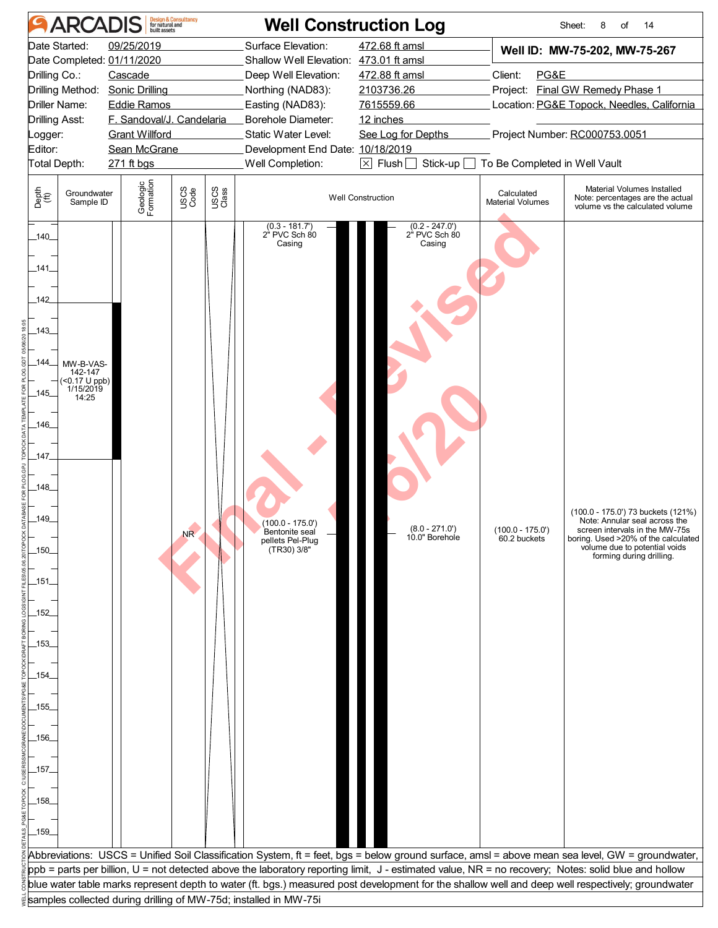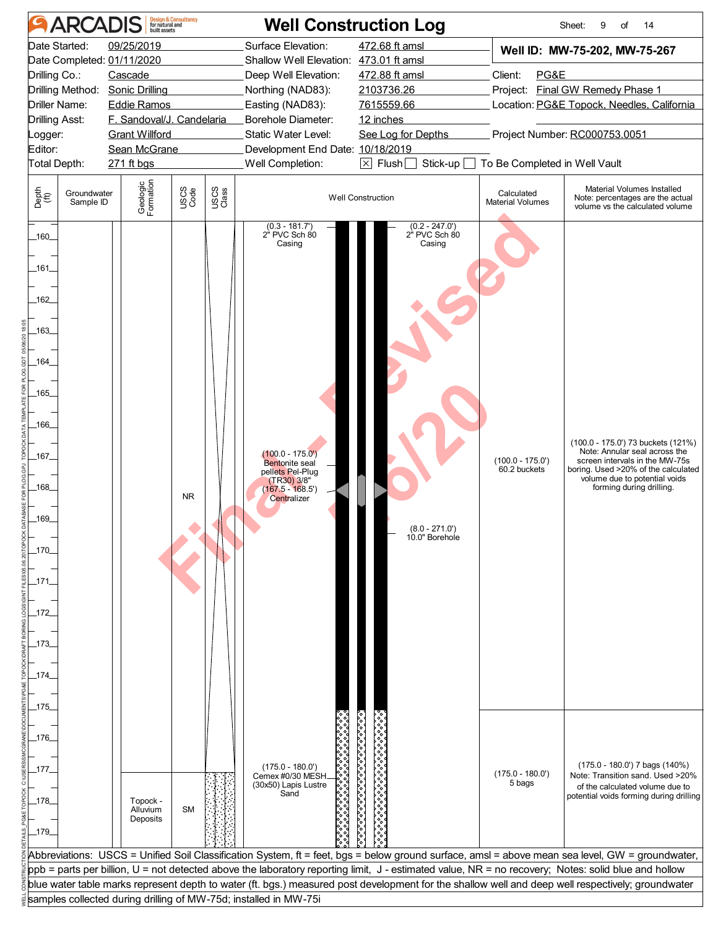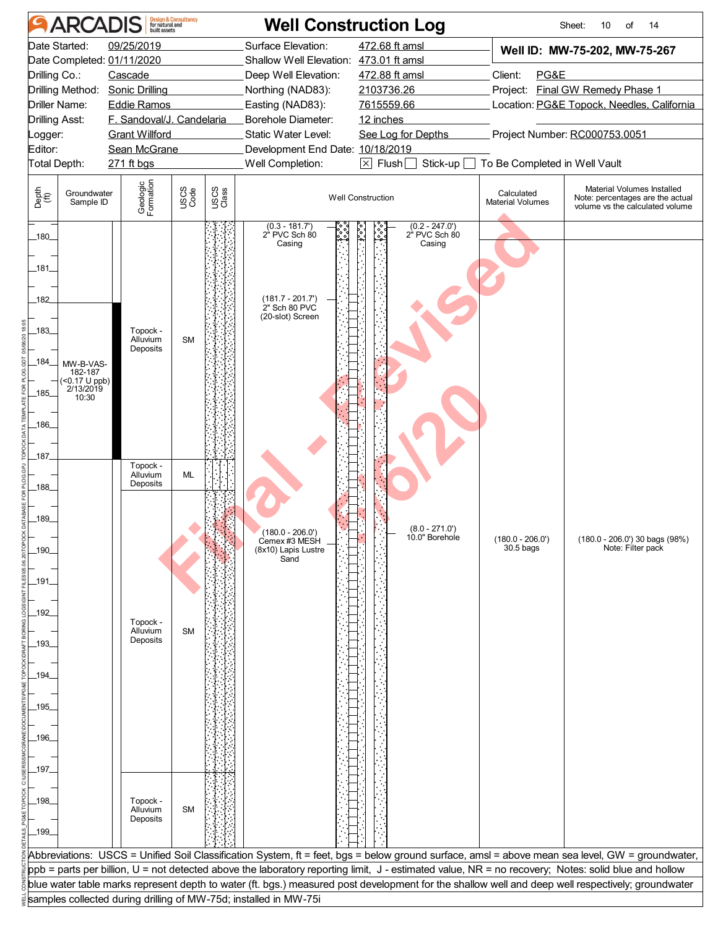|                                                                                                                                                                                 | <b>ARCADIS</b>                                                                              |                                                                                                                                                                                 | <b>Design &amp; Consultancy<br/>for natural and<br/>built assets</b> |               | <b>Well Construction Log</b>                                                                                                                                                                                                       |                                                                                                                                                     |                                                  | 14<br>Sheet:<br>10<br>of                                                                                                                          |
|---------------------------------------------------------------------------------------------------------------------------------------------------------------------------------|---------------------------------------------------------------------------------------------|---------------------------------------------------------------------------------------------------------------------------------------------------------------------------------|----------------------------------------------------------------------|---------------|------------------------------------------------------------------------------------------------------------------------------------------------------------------------------------------------------------------------------------|-----------------------------------------------------------------------------------------------------------------------------------------------------|--------------------------------------------------|---------------------------------------------------------------------------------------------------------------------------------------------------|
| Drilling Co.:<br>Logger:<br>Editor:                                                                                                                                             | Date Started:<br>Drilling Method:<br>Driller Name:<br><b>Drilling Asst:</b><br>Total Depth: | 09/25/2019<br>Date Completed: 01/11/2020<br>Cascade<br>Sonic Drilling<br><b>Eddie Ramos</b><br>F. Sandoval/J. Candelaria<br><b>Grant Willford</b><br>Sean McGrane<br>271 ft bgs |                                                                      |               | Surface Elevation:<br>Shallow Well Elevation: 473.01 ft amsl<br>Deep Well Elevation:<br>Northing (NAD83):<br>Easting (NAD83):<br>Borehole Diameter:<br>Static Water Level:<br>Development End Date: 10/18/2019<br>Well Completion: | 472.68 ft amsl<br>472.88 ft amsl<br>2103736.26<br>7615559.66<br>12 inches<br>See Log for Depths<br>$\boxtimes$ Flush $\Box$<br>Stick-up $\Box$      | Client:<br>PG&E<br>To Be Completed in Well Vault | Well ID: MW-75-202, MW-75-267<br>Project: Final GW Remedy Phase 1<br>Location: PG&E Topock, Needles, California<br>Project Number: RC000753.0051  |
| Depth<br>(ff)                                                                                                                                                                   | Groundwater<br>Sample ID                                                                    | Geologic<br>Formation                                                                                                                                                           | USCS<br>Code                                                         | USCS<br>Class |                                                                                                                                                                                                                                    | <b>Well Construction</b>                                                                                                                            | Calculated<br><b>Material Volumes</b>            | Material Volumes Installed<br>Note: percentages are the actual<br>volume vs the calculated volume                                                 |
| $-180$<br>181<br>182<br>_183_<br>_184_<br>_185_<br>186<br>_187_<br>$-188$<br>$-189$<br>$-190.$<br>_191_<br>_192_<br>193<br>_194_<br>_195_<br>_196_<br>_197_<br>_198_<br>$-199-$ | MW-B-VAS-<br>182-187<br>$($ < 0.17 U ppb)<br>2/13/2019<br>10:30                             | Topock -<br>Alluvium<br>Deposits<br>Topock -<br>Alluvium<br>Deposits<br>Topock -<br>Alluvium<br>Deposits<br>Topock -<br>Alluvium<br>Deposits                                    | <b>SM</b><br>ML<br><b>SM</b><br><b>SM</b>                            |               | $(0.3 - 181.7)$<br>2" PVC Sch 80<br>Casing<br>$(181.7 - 201.7)$<br>2" Sch 80 PVC<br>(20-slot) Screen<br>$(180.0 - 206.0')$<br>Cemex #3 MESH<br>(8x10) Lapis Lustre<br>Sand                                                         | $(0.2 - 247.0')$<br>e<br>Pes<br>2" PVC Sch 80<br>Casing<br>$(8.0 - 271.0')$<br>10.0" Borehole                                                       | $(180.0 - 206.0')$<br>30.5 bags                  | (180.0 - 206.0') 30 bags (98%)<br>Note: Filter pack                                                                                               |
|                                                                                                                                                                                 |                                                                                             |                                                                                                                                                                                 |                                                                      |               |                                                                                                                                                                                                                                    | ppb = parts per billion, U = not detected above the laboratory reporting limit, J - estimated value, NR = no recovery; Notes: solid blue and hollow |                                                  | Abbreviations: USCS = Unified Soil Classification System, ft = feet, bgs = below ground surface, amsl = above mean sea level, GW = groundwater,   |
|                                                                                                                                                                                 |                                                                                             |                                                                                                                                                                                 |                                                                      |               |                                                                                                                                                                                                                                    |                                                                                                                                                     |                                                  | blue water table marks represent depth to water (ft. bgs.) measured post development for the shallow well and deep well respectively; groundwater |
|                                                                                                                                                                                 |                                                                                             |                                                                                                                                                                                 |                                                                      |               | samples collected during drilling of MW-75d; installed in MW-75i                                                                                                                                                                   |                                                                                                                                                     |                                                  |                                                                                                                                                   |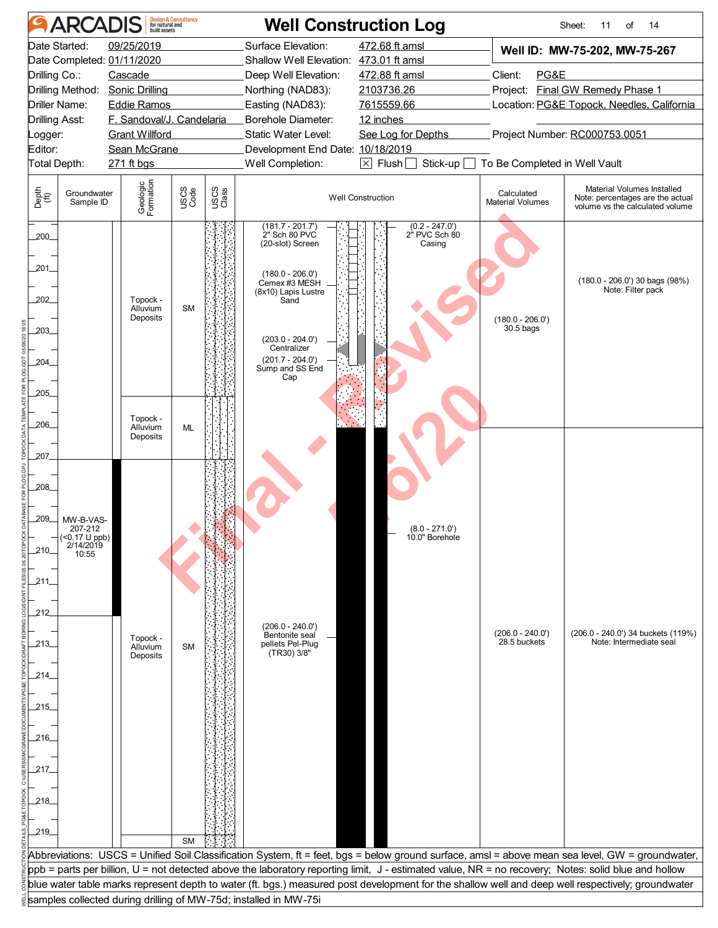|                                                                                       | <b>Design &amp; Consultancy</b><br>for natural and<br>built assets<br><b>ARCADIS</b><br><b>Well Construction Log</b><br>Sheet:<br>11<br>of<br>14<br>Date Started: |                                                                                                                                                                                 |                        |               |                                                                                                                                                                                                                                    |                                                                                                                                                     |                                                  |                                                                                                                                                   |  |  |  |  |  |  |
|---------------------------------------------------------------------------------------|-------------------------------------------------------------------------------------------------------------------------------------------------------------------|---------------------------------------------------------------------------------------------------------------------------------------------------------------------------------|------------------------|---------------|------------------------------------------------------------------------------------------------------------------------------------------------------------------------------------------------------------------------------------|-----------------------------------------------------------------------------------------------------------------------------------------------------|--------------------------------------------------|---------------------------------------------------------------------------------------------------------------------------------------------------|--|--|--|--|--|--|
| Drilling Co.:<br>Driller Name:<br>Drilling Asst:<br>ogger:<br>Editor:<br>Total Depth: | Drilling Method:                                                                                                                                                  | 09/25/2019<br>Date Completed: 01/11/2020<br>Cascade<br>Sonic Drilling<br><b>Eddie Ramos</b><br>F. Sandoval/J. Candelaria<br><b>Grant Willford</b><br>Sean McGrane<br>271 ft bgs |                        |               | Surface Elevation:<br>Shallow Well Elevation: 473.01 ft amsl<br>Deep Well Elevation:<br>Northing (NAD83):<br>Easting (NAD83):<br>Borehole Diameter:<br>Static Water Level:<br>Development End Date: 10/18/2019<br>Well Completion: | 472.68 ft amsl<br>472.88 ft amsl<br>2103736.26<br>7615559.66<br>12 inches<br>See Log for Depths<br>Stick-up $\square$<br>$\boxtimes$ Flush $\Box$   | Client:<br>PG&E<br>To Be Completed in Well Vault | Well ID: MW-75-202, MW-75-267<br>Project: Final GW Remedy Phase 1<br>Location: PG&E Topock, Needles, California<br>Project Number: RC000753.0051  |  |  |  |  |  |  |
| Depth<br>(ff)                                                                         | Groundwater<br>Sample ID                                                                                                                                          | Geologic<br>Formation                                                                                                                                                           | USCS<br>Code           | USCS<br>Class |                                                                                                                                                                                                                                    | <b>Well Construction</b>                                                                                                                            | Calculated<br><b>Material Volumes</b>            | Material Volumes Installed<br>Note: percentages are the actual<br>volume vs the calculated volume                                                 |  |  |  |  |  |  |
| $200 -$<br>,201<br>202<br>203_<br>204<br>205                                          |                                                                                                                                                                   | Topock -<br>Alluvium<br>Deposits<br>Topock -                                                                                                                                    | <b>SM</b>              |               | $(181.7 - 201.7)$<br>2" Sch 80 PVC<br>(20-slot) Screen<br>$(180.0 - 206.0')$<br>Cemex #3 MESH<br>(8x10) Lapis Lustre<br>Sand<br>$(203.0 - 204.0')$<br>Centralizer<br>$(201.7 - 204.0')$<br>Sump and SS End<br>Cap                  | $(0.2 - 247.0')$<br>2" PVC Sch 80<br>Casing                                                                                                         | $(180.0 - 206.0')$<br>30.5 bags                  | $(180.0 - 206.0')$ 30 bags $(98%)$<br>Note: Filter pack                                                                                           |  |  |  |  |  |  |
| 206<br>207<br>208<br>,209<br>210<br>.211.                                             | MW-B-VAS-<br>207-212<br>(<0.17 U ppb)<br>2/14/2019<br>10:55                                                                                                       | Alluvium<br>Deposits                                                                                                                                                            | ML                     |               |                                                                                                                                                                                                                                    | $(8.0 - 271.0')$<br>10.0" Borehole                                                                                                                  |                                                  |                                                                                                                                                   |  |  |  |  |  |  |
| 212<br>213_<br>214_<br>_215_<br>216_<br>_217_<br>218_<br>$-219$                       |                                                                                                                                                                   | Topock -<br>Alluvium<br>Deposits                                                                                                                                                | <b>SM</b><br><b>SM</b> |               | $(206.0 - 240.0')$<br>Bentonite seal<br>pellets Pel-Plug<br>(TR30) 3/8"                                                                                                                                                            |                                                                                                                                                     | (206.0 - 240.0')<br>28.5 buckets                 | (206.0 - 240.0') 34 buckets (119%)<br>Note: Intermediate seal                                                                                     |  |  |  |  |  |  |
|                                                                                       |                                                                                                                                                                   |                                                                                                                                                                                 |                        |               |                                                                                                                                                                                                                                    | ppb = parts per billion, U = not detected above the laboratory reporting limit, J - estimated value, NR = no recovery; Notes: solid blue and hollow |                                                  | Abbreviations: USCS = Unified Soil Classification System, ft = feet, bgs = below ground surface, amsl = above mean sea level, GW = groundwater,   |  |  |  |  |  |  |
|                                                                                       |                                                                                                                                                                   |                                                                                                                                                                                 |                        |               |                                                                                                                                                                                                                                    |                                                                                                                                                     |                                                  | blue water table marks represent depth to water (ft. bgs.) measured post development for the shallow well and deep well respectively; groundwater |  |  |  |  |  |  |
|                                                                                       |                                                                                                                                                                   |                                                                                                                                                                                 |                        |               | samples collected during drilling of MW-75d; installed in MW-75i                                                                                                                                                                   |                                                                                                                                                     |                                                  |                                                                                                                                                   |  |  |  |  |  |  |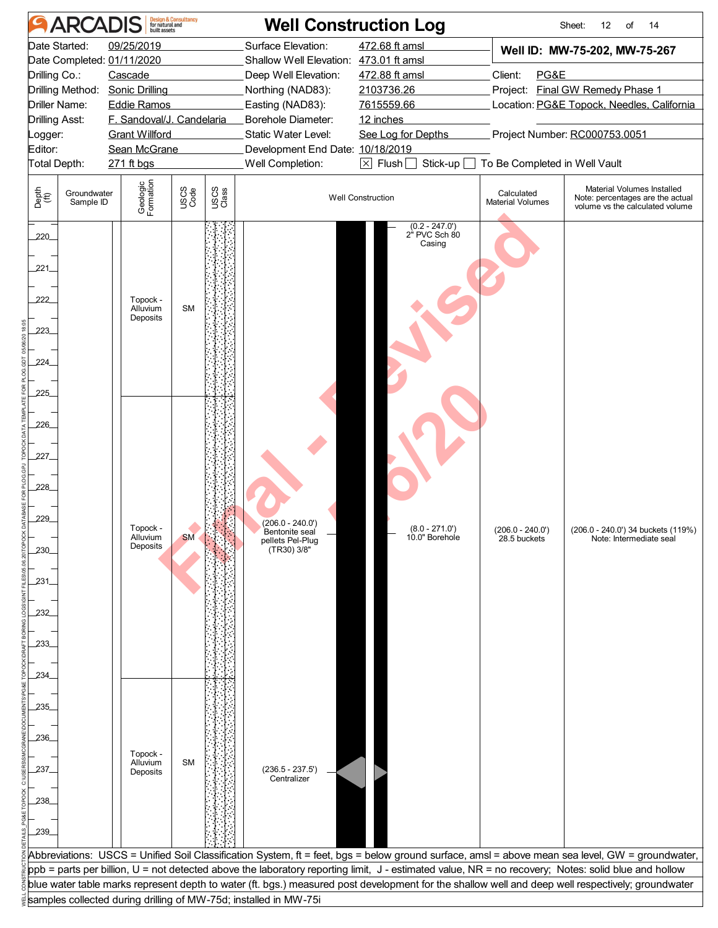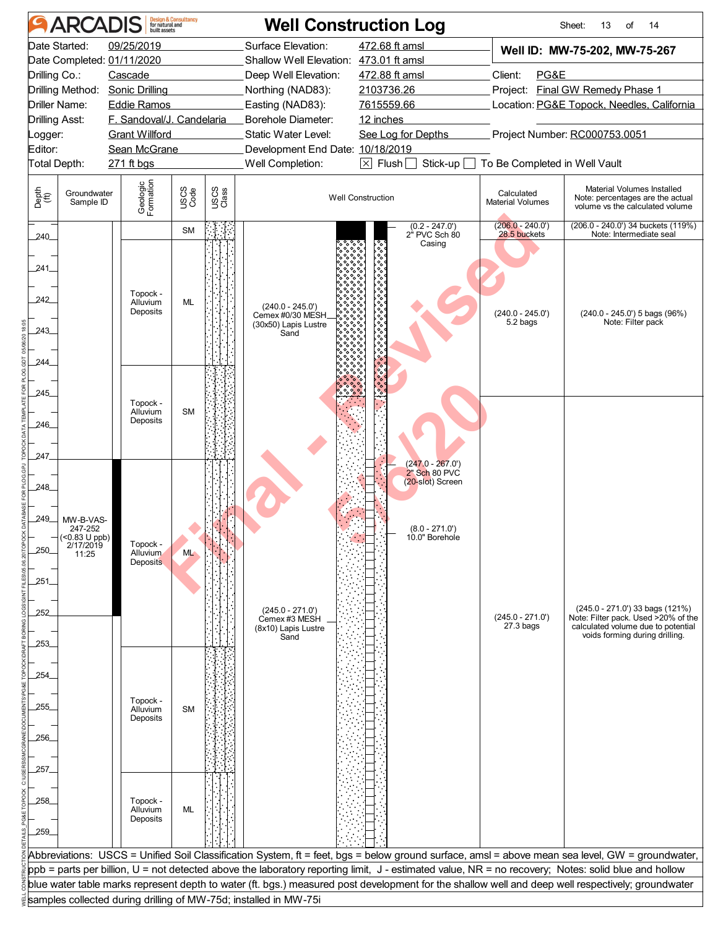|                                  | <b>ARCADIS</b>                 |                                                    | <b>Design &amp; Consultancy</b><br>for natural and<br>built assets |               |                                                                  | <b>Well Construction Log</b>                                                |                                       | Sheet:<br>13<br>14<br>of                                                                                                                            |
|----------------------------------|--------------------------------|----------------------------------------------------|--------------------------------------------------------------------|---------------|------------------------------------------------------------------|-----------------------------------------------------------------------------|---------------------------------------|-----------------------------------------------------------------------------------------------------------------------------------------------------|
|                                  | Date Started:                  | 09/25/2019                                         |                                                                    |               | Surface Elevation:                                               | 472.68 ft amsl                                                              |                                       | Well ID: MW-75-202, MW-75-267                                                                                                                       |
|                                  |                                | Date Completed: 01/11/2020                         |                                                                    |               | Shallow Well Elevation: 473.01 ft amsl                           |                                                                             |                                       |                                                                                                                                                     |
| Drilling Co.:                    |                                | Cascade                                            |                                                                    |               | Deep Well Elevation:                                             | 472.88 ft amsl                                                              | Client:<br>PG&E                       |                                                                                                                                                     |
|                                  | Drilling Method:               | Sonic Drilling                                     |                                                                    |               | Northing (NAD83):                                                | 2103736.26                                                                  |                                       | Project: Final GW Remedy Phase 1                                                                                                                    |
|                                  | <b>Driller Name:</b>           | <b>Eddie Ramos</b>                                 |                                                                    |               | Easting (NAD83):                                                 | 7615559.66                                                                  |                                       | Location: PG&E Topock, Needles, California                                                                                                          |
| <b>Drilling Asst:</b><br>Logger: |                                | F. Sandoval/J. Candelaria<br><b>Grant Willford</b> |                                                                    |               | Borehole Diameter:<br>Static Water Level:                        | 12 inches<br>See Log for Depths                                             |                                       | Project Number: RC000753.0051                                                                                                                       |
| Editor:                          |                                | Sean McGrane                                       |                                                                    |               | Development End Date: 10/18/2019                                 |                                                                             |                                       |                                                                                                                                                     |
| Total Depth:                     |                                | 271 ft bgs                                         |                                                                    |               | Well Completion:                                                 | $\boxed{\times}$ Flush $\boxed{\phantom{a}}$ Stick-up $\boxed{\phantom{a}}$ | To Be Completed in Well Vault         |                                                                                                                                                     |
|                                  |                                |                                                    |                                                                    |               |                                                                  |                                                                             |                                       |                                                                                                                                                     |
| Depth<br>(ff)                    | Groundwater<br>Sample ID       | Geologic<br>Formation                              | USCS<br>Code                                                       | USCS<br>Class |                                                                  | <b>Well Construction</b>                                                    | Calculated<br><b>Material Volumes</b> | Material Volumes Installed<br>Note: percentages are the actual<br>volume vs the calculated volume                                                   |
| $240$ <sub>-</sub>               |                                |                                                    | <b>SM</b>                                                          |               |                                                                  | $(0.2 - 247.0')$<br>2" PVC Sch 80<br>Casing                                 | $(206.0 - 240.0')$<br>28.5 buckets    | (206.0 - 240.0') 34 buckets (119%)<br>Note: Intermediate seal                                                                                       |
| 241                              |                                |                                                    |                                                                    |               |                                                                  |                                                                             |                                       |                                                                                                                                                     |
| 242                              |                                | Topock -<br>Alluvium                               | ML                                                                 |               |                                                                  |                                                                             |                                       |                                                                                                                                                     |
| 243                              |                                | Deposits                                           |                                                                    |               | $(240.0 - 245.0')$<br>Cemex #0/30 MESH.<br>(30x50) Lapis Lustre  |                                                                             | $(240.0 - 245.0')$<br>5.2 bags        | (240.0 - 245.0') 5 bags (96%)<br>Note: Filter pack                                                                                                  |
|                                  |                                |                                                    |                                                                    |               | Sand                                                             |                                                                             |                                       |                                                                                                                                                     |
| 244                              |                                |                                                    |                                                                    |               |                                                                  |                                                                             |                                       |                                                                                                                                                     |
| 245                              |                                |                                                    |                                                                    |               |                                                                  |                                                                             |                                       |                                                                                                                                                     |
|                                  |                                | Topock -<br>Alluvium<br>Deposits                   | <b>SM</b>                                                          |               |                                                                  |                                                                             |                                       |                                                                                                                                                     |
| 246_                             |                                |                                                    |                                                                    |               |                                                                  |                                                                             |                                       |                                                                                                                                                     |
| 247                              |                                |                                                    |                                                                    |               |                                                                  |                                                                             |                                       |                                                                                                                                                     |
|                                  |                                |                                                    |                                                                    |               |                                                                  | $(247.0 - 267.0')$<br>2" Sch 80 PVC                                         |                                       |                                                                                                                                                     |
| 248                              |                                |                                                    |                                                                    |               |                                                                  | (20-slot) Screen                                                            |                                       |                                                                                                                                                     |
|                                  |                                |                                                    |                                                                    |               |                                                                  |                                                                             |                                       |                                                                                                                                                     |
| 249_                             | MW-B-VAS-<br>247-252           |                                                    |                                                                    |               |                                                                  | $(8.0 - 271.0')$                                                            |                                       |                                                                                                                                                     |
| 250                              | $-$ (<0.83 U ppb)<br>2/17/2019 | Topock -                                           |                                                                    |               |                                                                  | 10.0" Borehole                                                              |                                       |                                                                                                                                                     |
|                                  | 11:25                          | Alluvium<br><b>Deposits</b>                        | <b>ML</b>                                                          |               |                                                                  |                                                                             |                                       |                                                                                                                                                     |
| .251                             |                                |                                                    |                                                                    |               |                                                                  |                                                                             |                                       |                                                                                                                                                     |
|                                  |                                |                                                    |                                                                    |               |                                                                  |                                                                             |                                       |                                                                                                                                                     |
| 252                              |                                |                                                    |                                                                    |               | $(245.0 - 271.0')$<br>Cemex #3 MESH                              |                                                                             | $(245.0 - 271.0')$                    | $(245.0 - 271.0)$ 33 bags $(121\%)$<br>Note: Filter pack. Used >20% of the                                                                          |
|                                  |                                |                                                    |                                                                    |               | (8x10) Lapis Lustre<br>Sand                                      |                                                                             | $27.3$ bags                           | calculated volume due to potential<br>voids forming during drilling.                                                                                |
| 253_                             |                                |                                                    |                                                                    |               |                                                                  |                                                                             |                                       |                                                                                                                                                     |
| 254_                             |                                |                                                    |                                                                    |               |                                                                  |                                                                             |                                       |                                                                                                                                                     |
|                                  |                                |                                                    |                                                                    |               |                                                                  |                                                                             |                                       |                                                                                                                                                     |
| 255                              |                                | Topock -<br>Alluvium                               | <b>SM</b>                                                          |               |                                                                  |                                                                             |                                       |                                                                                                                                                     |
|                                  |                                | Deposits                                           |                                                                    |               |                                                                  |                                                                             |                                       |                                                                                                                                                     |
| 256                              |                                |                                                    |                                                                    |               |                                                                  |                                                                             |                                       |                                                                                                                                                     |
|                                  |                                |                                                    |                                                                    |               |                                                                  |                                                                             |                                       |                                                                                                                                                     |
| _257_                            |                                |                                                    |                                                                    |               |                                                                  |                                                                             |                                       |                                                                                                                                                     |
| .258.                            |                                | Topock -                                           |                                                                    |               |                                                                  |                                                                             |                                       |                                                                                                                                                     |
|                                  |                                | Alluvium<br>Deposits                               | ML                                                                 |               |                                                                  |                                                                             |                                       |                                                                                                                                                     |
| 259                              |                                |                                                    |                                                                    |               |                                                                  |                                                                             |                                       |                                                                                                                                                     |
|                                  |                                |                                                    |                                                                    |               |                                                                  |                                                                             |                                       | Abbreviations: USCS = Unified Soil Classification System, ft = feet, bgs = below ground surface, amsl = above mean sea level, GW = groundwater,     |
|                                  |                                |                                                    |                                                                    |               |                                                                  |                                                                             |                                       | ppb = parts per billion, U = not detected above the laboratory reporting limit, J - estimated value, NR = no recovery; Notes: solid blue and hollow |
|                                  |                                |                                                    |                                                                    |               |                                                                  |                                                                             |                                       | blue water table marks represent depth to water (ft. bgs.) measured post development for the shallow well and deep well respectively; groundwater   |
|                                  |                                |                                                    |                                                                    |               | samples collected during drilling of MW-75d; installed in MW-75i |                                                                             |                                       |                                                                                                                                                     |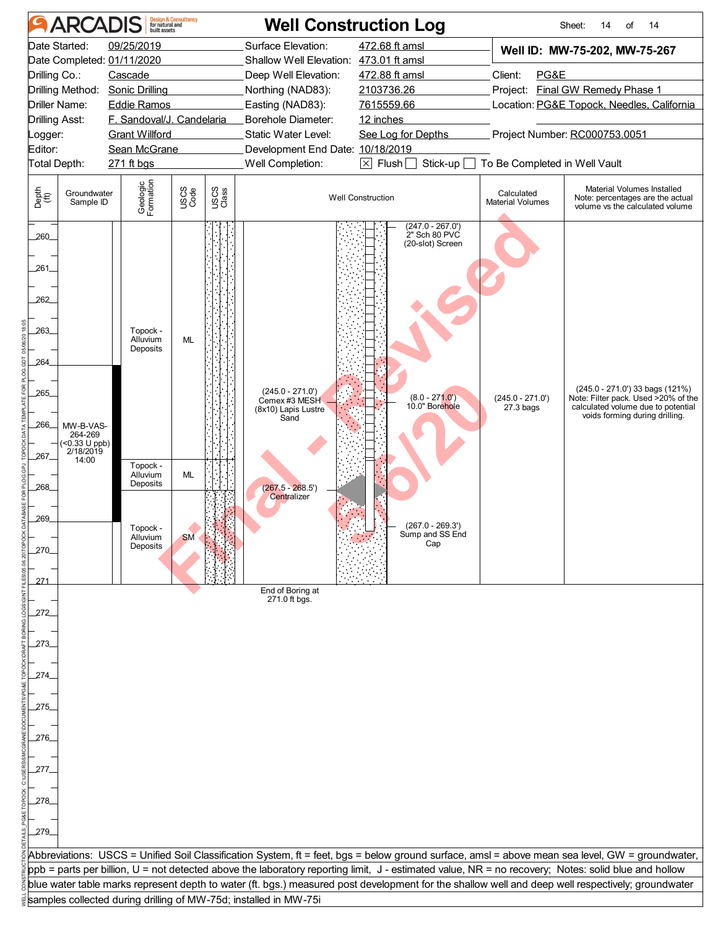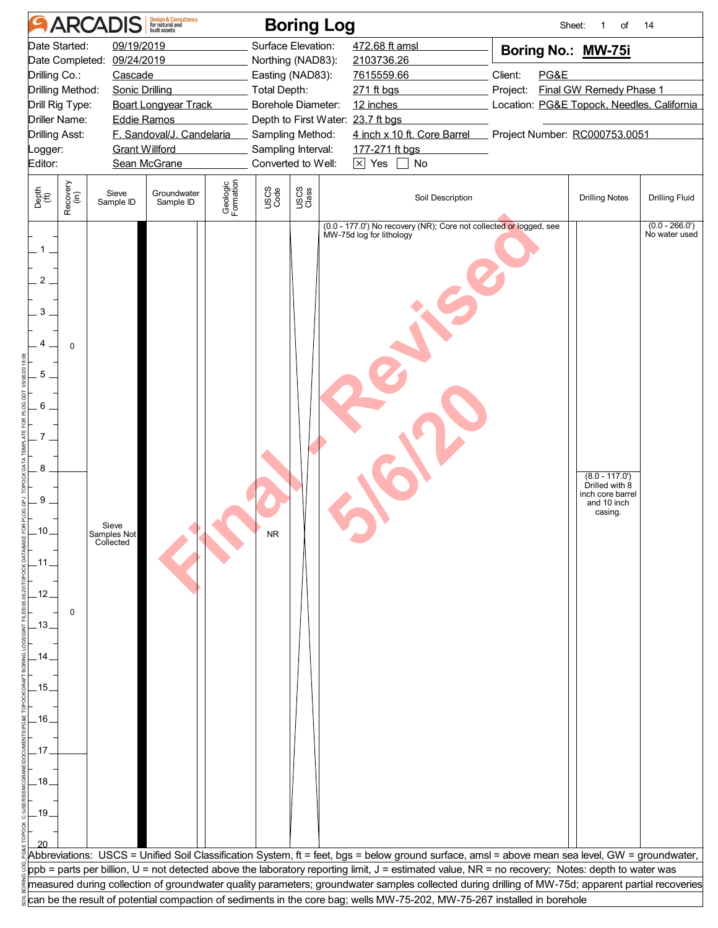| <b>Design &amp; Consultancy</b><br>for natural and<br>built assets<br><b>ARCADIS</b><br><b>Boring Log</b><br>Sheet:<br>of<br>14                          |                                                                                                                                                                                                                                                                                                                                                                                                                            |                                                                                                                       |  |  |  |  |  |  |  |  |  |  |  |
|----------------------------------------------------------------------------------------------------------------------------------------------------------|----------------------------------------------------------------------------------------------------------------------------------------------------------------------------------------------------------------------------------------------------------------------------------------------------------------------------------------------------------------------------------------------------------------------------|-----------------------------------------------------------------------------------------------------------------------|--|--|--|--|--|--|--|--|--|--|--|
| Date Started:<br>09/19/2019<br>09/24/2019<br>Date Completed:<br>Drilling Co.:<br>Cascade<br>Drilling Method:<br><b>Sonic Drilling</b><br>Drill Rig Type: | Surface Elevation:<br>472.68 ft amsl<br>Boring No.: MW-75i<br>Northing (NAD83):<br>2103736.26<br>Easting (NAD83):<br>Client:<br>PG&E<br>7615559.66<br>Final GW Remedy Phase 1<br><b>Total Depth:</b><br>Project:<br>271 ft bgs<br>Location: PG&E Topock, Needles, California<br><b>Boart Longyear Track</b><br>Borehole Diameter:<br>12 inches<br>Driller Name:<br>Depth to First Water: 23.7 ft bgs<br><b>Eddie Ramos</b> |                                                                                                                       |  |  |  |  |  |  |  |  |  |  |  |
| F. Sandoval/J. Candelaria<br><b>Drilling Asst:</b><br><b>Grant Willford</b><br>Logger:<br>Sean McGrane<br>Editor:                                        | 4 inch x 10 ft. Core Barrel<br>Sampling Method:<br>Sampling Interval:<br>177-271 ft bgs<br>$\boxtimes$ Yes [<br>Converted to Well:<br>No                                                                                                                                                                                                                                                                                   | Project Number: RC000753.0051                                                                                         |  |  |  |  |  |  |  |  |  |  |  |
| Recovery<br>(in)<br>Depth<br>(ft)<br>Groundwater<br>Sieve<br>Sample ID<br>Sample ID                                                                      | Geologic<br>Formation<br>USCS<br>Code<br>USCS<br>Class<br>Soil Description                                                                                                                                                                                                                                                                                                                                                 | <b>Drilling Notes</b><br><b>Drilling Fluid</b>                                                                        |  |  |  |  |  |  |  |  |  |  |  |
| 1<br>2<br>3<br>4<br>$\mathbf 0$<br>5<br>6<br>8<br>9<br>Sieve<br>10<br>Samples Not<br>Collected<br>.12<br>0<br>$-13$<br>15<br>.16<br>.17<br>.18<br>$-19$  | (0.0 - 177.0') No recovery (NR); Core not collected or logged, see<br>MW-75d log for lithology                                                                                                                                                                                                                                                                                                                             | $(0.0 - 266.0')$<br>No water used<br>$(8.0 - 117.0')$<br>Drilled with 8<br>inch core barrel<br>and 10 inch<br>casing. |  |  |  |  |  |  |  |  |  |  |  |
|                                                                                                                                                          | Abbreviations: USCS = Unified Soil Classification System, ft = feet, bgs = below ground surface, amsl = above mean sea level, GW = groundwater,<br>ppb = parts per billion, U = not detected above the laboratory reporting limit, J = estimated value, NR = no recovery; Notes: depth to water was                                                                                                                        |                                                                                                                       |  |  |  |  |  |  |  |  |  |  |  |
|                                                                                                                                                          | measured during collection of groundwater quality parameters; groundwater samples collected during drilling of MW-75d; apparent partial recoveries<br>can be the result of potential compaction of sediments in the core bag; wells MW-75-202, MW-75-267 installed in borehole                                                                                                                                             |                                                                                                                       |  |  |  |  |  |  |  |  |  |  |  |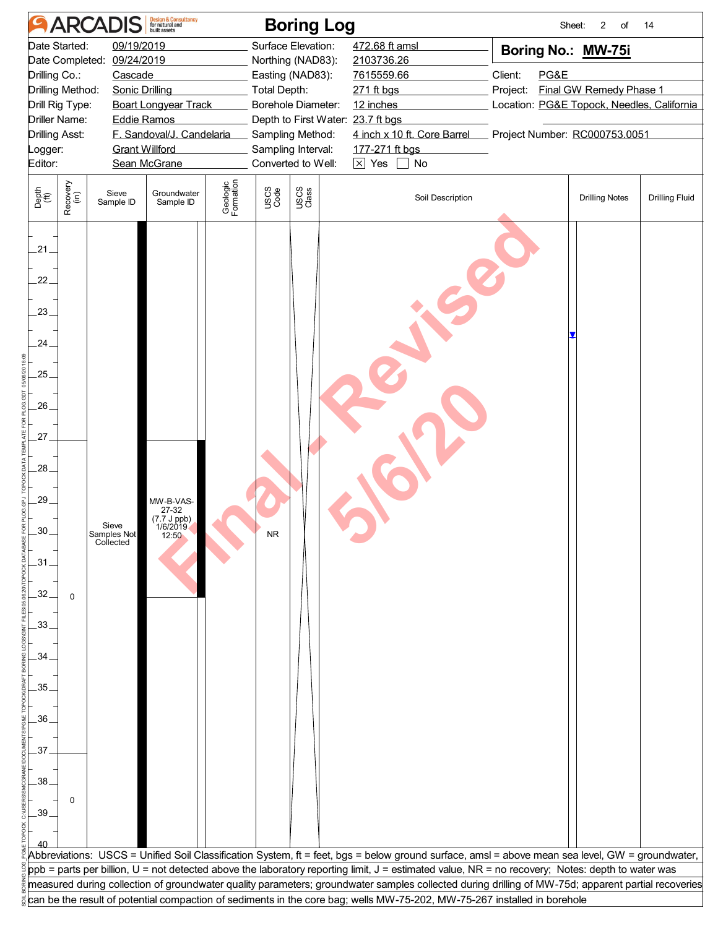| Date Started:<br>09/19/2019<br>Surface Elevation:<br>472.68 ft amsl<br>Boring No.: MW-75i<br>Date Completed: 09/24/2019<br>2103736.26<br>Northing (NAD83):<br>Drilling Co.:<br>Easting (NAD83):<br>Client:<br>PG&E<br>Cascade<br>7615559.66<br>Final GW Remedy Phase 1<br>Drilling Method:<br><b>Sonic Drilling</b><br><b>Total Depth:</b><br>Project:<br>271 ft bgs<br>Borehole Diameter:<br>Drill Rig Type:<br><b>Boart Longyear Track</b><br>12 inches<br>Location: PG&E Topock, Needles, California<br><b>Driller Name:</b><br><b>Eddie Ramos</b><br>Depth to First Water: 23.7 ft bgs<br>F. Sandoval/J. Candelaria<br>4 inch x 10 ft. Core Barrel<br>Project Number: RC000753.0051<br><b>Drilling Asst:</b><br>Sampling Method:<br><b>Grant Willford</b><br>Sampling Interval:<br>177-271 ft bgs<br>Logger:<br>$\boxed{\times}$ Yes<br>Sean McGrane<br>Converted to Well:<br>No<br>Editor:<br>Geologic<br>Formation<br>Recovery<br>(in)<br>USCS<br>Class<br>USCS<br>Code<br>Depth<br>(ft)<br>Groundwater<br>Sieve<br>Soil Description<br><b>Drilling Notes</b><br>Sample ID<br>Sample ID<br>.21.<br>22.<br>$23_{-}$<br>$24_{-}$<br>25.<br>.26.<br>27.<br>28.<br>.29.<br>MW-B-VAS-<br>27-32<br>(7.7 J ppb)<br>1/6/2019<br>Sieve<br>30.<br>Samples Not<br>Collected<br>12:50<br>.31.<br>32 <sub>1</sub><br>$\mathbf 0$<br>.33.<br>34.<br>35<br>.36.<br>37 | Design & Consultancy<br>for natural and<br>built assets<br><b>ARCADIS</b><br><b>Boring Log</b><br>Sheet:<br>$\overline{2}$<br>of<br>14 |  |  |  |  |  |  |  |  |  |  |  |  |
|--------------------------------------------------------------------------------------------------------------------------------------------------------------------------------------------------------------------------------------------------------------------------------------------------------------------------------------------------------------------------------------------------------------------------------------------------------------------------------------------------------------------------------------------------------------------------------------------------------------------------------------------------------------------------------------------------------------------------------------------------------------------------------------------------------------------------------------------------------------------------------------------------------------------------------------------------------------------------------------------------------------------------------------------------------------------------------------------------------------------------------------------------------------------------------------------------------------------------------------------------------------------------------------------------------------------------------------------------------------|----------------------------------------------------------------------------------------------------------------------------------------|--|--|--|--|--|--|--|--|--|--|--|--|
|                                                                                                                                                                                                                                                                                                                                                                                                                                                                                                                                                                                                                                                                                                                                                                                                                                                                                                                                                                                                                                                                                                                                                                                                                                                                                                                                                              |                                                                                                                                        |  |  |  |  |  |  |  |  |  |  |  |  |
|                                                                                                                                                                                                                                                                                                                                                                                                                                                                                                                                                                                                                                                                                                                                                                                                                                                                                                                                                                                                                                                                                                                                                                                                                                                                                                                                                              |                                                                                                                                        |  |  |  |  |  |  |  |  |  |  |  |  |
|                                                                                                                                                                                                                                                                                                                                                                                                                                                                                                                                                                                                                                                                                                                                                                                                                                                                                                                                                                                                                                                                                                                                                                                                                                                                                                                                                              |                                                                                                                                        |  |  |  |  |  |  |  |  |  |  |  |  |
|                                                                                                                                                                                                                                                                                                                                                                                                                                                                                                                                                                                                                                                                                                                                                                                                                                                                                                                                                                                                                                                                                                                                                                                                                                                                                                                                                              |                                                                                                                                        |  |  |  |  |  |  |  |  |  |  |  |  |
|                                                                                                                                                                                                                                                                                                                                                                                                                                                                                                                                                                                                                                                                                                                                                                                                                                                                                                                                                                                                                                                                                                                                                                                                                                                                                                                                                              |                                                                                                                                        |  |  |  |  |  |  |  |  |  |  |  |  |
|                                                                                                                                                                                                                                                                                                                                                                                                                                                                                                                                                                                                                                                                                                                                                                                                                                                                                                                                                                                                                                                                                                                                                                                                                                                                                                                                                              |                                                                                                                                        |  |  |  |  |  |  |  |  |  |  |  |  |
|                                                                                                                                                                                                                                                                                                                                                                                                                                                                                                                                                                                                                                                                                                                                                                                                                                                                                                                                                                                                                                                                                                                                                                                                                                                                                                                                                              |                                                                                                                                        |  |  |  |  |  |  |  |  |  |  |  |  |
|                                                                                                                                                                                                                                                                                                                                                                                                                                                                                                                                                                                                                                                                                                                                                                                                                                                                                                                                                                                                                                                                                                                                                                                                                                                                                                                                                              |                                                                                                                                        |  |  |  |  |  |  |  |  |  |  |  |  |
|                                                                                                                                                                                                                                                                                                                                                                                                                                                                                                                                                                                                                                                                                                                                                                                                                                                                                                                                                                                                                                                                                                                                                                                                                                                                                                                                                              |                                                                                                                                        |  |  |  |  |  |  |  |  |  |  |  |  |
|                                                                                                                                                                                                                                                                                                                                                                                                                                                                                                                                                                                                                                                                                                                                                                                                                                                                                                                                                                                                                                                                                                                                                                                                                                                                                                                                                              | <b>Drilling Fluid</b>                                                                                                                  |  |  |  |  |  |  |  |  |  |  |  |  |
|                                                                                                                                                                                                                                                                                                                                                                                                                                                                                                                                                                                                                                                                                                                                                                                                                                                                                                                                                                                                                                                                                                                                                                                                                                                                                                                                                              |                                                                                                                                        |  |  |  |  |  |  |  |  |  |  |  |  |
|                                                                                                                                                                                                                                                                                                                                                                                                                                                                                                                                                                                                                                                                                                                                                                                                                                                                                                                                                                                                                                                                                                                                                                                                                                                                                                                                                              |                                                                                                                                        |  |  |  |  |  |  |  |  |  |  |  |  |
|                                                                                                                                                                                                                                                                                                                                                                                                                                                                                                                                                                                                                                                                                                                                                                                                                                                                                                                                                                                                                                                                                                                                                                                                                                                                                                                                                              |                                                                                                                                        |  |  |  |  |  |  |  |  |  |  |  |  |
|                                                                                                                                                                                                                                                                                                                                                                                                                                                                                                                                                                                                                                                                                                                                                                                                                                                                                                                                                                                                                                                                                                                                                                                                                                                                                                                                                              |                                                                                                                                        |  |  |  |  |  |  |  |  |  |  |  |  |
|                                                                                                                                                                                                                                                                                                                                                                                                                                                                                                                                                                                                                                                                                                                                                                                                                                                                                                                                                                                                                                                                                                                                                                                                                                                                                                                                                              |                                                                                                                                        |  |  |  |  |  |  |  |  |  |  |  |  |
|                                                                                                                                                                                                                                                                                                                                                                                                                                                                                                                                                                                                                                                                                                                                                                                                                                                                                                                                                                                                                                                                                                                                                                                                                                                                                                                                                              |                                                                                                                                        |  |  |  |  |  |  |  |  |  |  |  |  |
|                                                                                                                                                                                                                                                                                                                                                                                                                                                                                                                                                                                                                                                                                                                                                                                                                                                                                                                                                                                                                                                                                                                                                                                                                                                                                                                                                              |                                                                                                                                        |  |  |  |  |  |  |  |  |  |  |  |  |
|                                                                                                                                                                                                                                                                                                                                                                                                                                                                                                                                                                                                                                                                                                                                                                                                                                                                                                                                                                                                                                                                                                                                                                                                                                                                                                                                                              |                                                                                                                                        |  |  |  |  |  |  |  |  |  |  |  |  |
|                                                                                                                                                                                                                                                                                                                                                                                                                                                                                                                                                                                                                                                                                                                                                                                                                                                                                                                                                                                                                                                                                                                                                                                                                                                                                                                                                              |                                                                                                                                        |  |  |  |  |  |  |  |  |  |  |  |  |
|                                                                                                                                                                                                                                                                                                                                                                                                                                                                                                                                                                                                                                                                                                                                                                                                                                                                                                                                                                                                                                                                                                                                                                                                                                                                                                                                                              |                                                                                                                                        |  |  |  |  |  |  |  |  |  |  |  |  |
|                                                                                                                                                                                                                                                                                                                                                                                                                                                                                                                                                                                                                                                                                                                                                                                                                                                                                                                                                                                                                                                                                                                                                                                                                                                                                                                                                              |                                                                                                                                        |  |  |  |  |  |  |  |  |  |  |  |  |
|                                                                                                                                                                                                                                                                                                                                                                                                                                                                                                                                                                                                                                                                                                                                                                                                                                                                                                                                                                                                                                                                                                                                                                                                                                                                                                                                                              |                                                                                                                                        |  |  |  |  |  |  |  |  |  |  |  |  |
|                                                                                                                                                                                                                                                                                                                                                                                                                                                                                                                                                                                                                                                                                                                                                                                                                                                                                                                                                                                                                                                                                                                                                                                                                                                                                                                                                              |                                                                                                                                        |  |  |  |  |  |  |  |  |  |  |  |  |
|                                                                                                                                                                                                                                                                                                                                                                                                                                                                                                                                                                                                                                                                                                                                                                                                                                                                                                                                                                                                                                                                                                                                                                                                                                                                                                                                                              |                                                                                                                                        |  |  |  |  |  |  |  |  |  |  |  |  |
| .38.                                                                                                                                                                                                                                                                                                                                                                                                                                                                                                                                                                                                                                                                                                                                                                                                                                                                                                                                                                                                                                                                                                                                                                                                                                                                                                                                                         |                                                                                                                                        |  |  |  |  |  |  |  |  |  |  |  |  |
| 0                                                                                                                                                                                                                                                                                                                                                                                                                                                                                                                                                                                                                                                                                                                                                                                                                                                                                                                                                                                                                                                                                                                                                                                                                                                                                                                                                            |                                                                                                                                        |  |  |  |  |  |  |  |  |  |  |  |  |
| $-39.$                                                                                                                                                                                                                                                                                                                                                                                                                                                                                                                                                                                                                                                                                                                                                                                                                                                                                                                                                                                                                                                                                                                                                                                                                                                                                                                                                       |                                                                                                                                        |  |  |  |  |  |  |  |  |  |  |  |  |
|                                                                                                                                                                                                                                                                                                                                                                                                                                                                                                                                                                                                                                                                                                                                                                                                                                                                                                                                                                                                                                                                                                                                                                                                                                                                                                                                                              |                                                                                                                                        |  |  |  |  |  |  |  |  |  |  |  |  |
| Abbreviations: USCS = Unified Soil Classification System, ft = feet, bgs = below ground surface, amsl = above mean sea level, GW = groundwater,                                                                                                                                                                                                                                                                                                                                                                                                                                                                                                                                                                                                                                                                                                                                                                                                                                                                                                                                                                                                                                                                                                                                                                                                              |                                                                                                                                        |  |  |  |  |  |  |  |  |  |  |  |  |
| ppb = parts per billion, U = not detected above the laboratory reporting limit, J = estimated value, NR = no recovery; Notes: depth to water was                                                                                                                                                                                                                                                                                                                                                                                                                                                                                                                                                                                                                                                                                                                                                                                                                                                                                                                                                                                                                                                                                                                                                                                                             |                                                                                                                                        |  |  |  |  |  |  |  |  |  |  |  |  |
| measured during collection of groundwater quality parameters; groundwater samples collected during drilling of MW-75d; apparent partial recoveries                                                                                                                                                                                                                                                                                                                                                                                                                                                                                                                                                                                                                                                                                                                                                                                                                                                                                                                                                                                                                                                                                                                                                                                                           |                                                                                                                                        |  |  |  |  |  |  |  |  |  |  |  |  |
| can be the result of potential compaction of sediments in the core bag; wells MW-75-202, MW-75-267 installed in borehole                                                                                                                                                                                                                                                                                                                                                                                                                                                                                                                                                                                                                                                                                                                                                                                                                                                                                                                                                                                                                                                                                                                                                                                                                                     |                                                                                                                                        |  |  |  |  |  |  |  |  |  |  |  |  |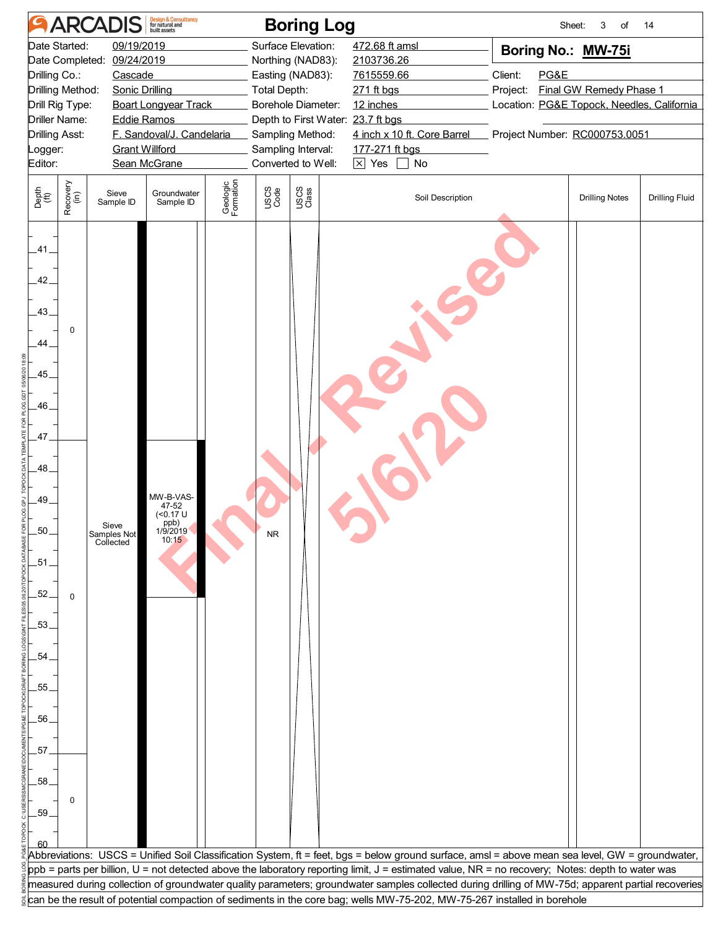|                                                    | Design & Consultancy<br>for natural and<br>built assets<br><b>ARCADIS</b><br><b>Boring Log</b><br>Sheet:<br>3<br>of<br>14 |                                   |                                                                         |                       |                     |                                                       |                                                                                                                                                    |          |      |                                            |                       |  |  |
|----------------------------------------------------|---------------------------------------------------------------------------------------------------------------------------|-----------------------------------|-------------------------------------------------------------------------|-----------------------|---------------------|-------------------------------------------------------|----------------------------------------------------------------------------------------------------------------------------------------------------|----------|------|--------------------------------------------|-----------------------|--|--|
|                                                    | Date Started:                                                                                                             | 09/19/2019                        |                                                                         |                       |                     | Surface Elevation:                                    | 472.68 ft amsl                                                                                                                                     |          |      | Boring No.: MW-75i                         |                       |  |  |
|                                                    |                                                                                                                           | Date Completed: 09/24/2019        |                                                                         |                       |                     | Northing (NAD83):                                     | 2103736.26                                                                                                                                         |          |      |                                            |                       |  |  |
| Drilling Co.:                                      |                                                                                                                           | Cascade                           |                                                                         |                       |                     | Easting (NAD83):                                      | 7615559.66                                                                                                                                         | Client:  | PG&E |                                            |                       |  |  |
|                                                    | Drilling Method:                                                                                                          | <b>Sonic Drilling</b>             |                                                                         |                       | <b>Total Depth:</b> |                                                       | 271 ft bgs                                                                                                                                         | Project: |      | Final GW Remedy Phase 1                    |                       |  |  |
|                                                    | Drill Rig Type:                                                                                                           |                                   | <b>Boart Longyear Track</b>                                             |                       |                     | Borehole Diameter:                                    | 12 inches                                                                                                                                          |          |      | Location: PG&E Topock, Needles, California |                       |  |  |
| <b>Drilling Asst:</b>                              | Driller Name:                                                                                                             | <b>Eddie Ramos</b>                | F. Sandoval/J. Candelaria                                               |                       |                     | Depth to First Water: 23.7 ft bgs<br>Sampling Method: | 4 inch x 10 ft. Core Barrel                                                                                                                        |          |      | Project Number: RC000753.0051              |                       |  |  |
| Logger:                                            |                                                                                                                           | <b>Grant Willford</b>             |                                                                         |                       |                     | Sampling Interval:                                    | 177-271 ft bgs                                                                                                                                     |          |      |                                            |                       |  |  |
| Editor:                                            |                                                                                                                           |                                   | Sean McGrane                                                            |                       |                     | Converted to Well:                                    | $\boxed{\times}$ Yes<br>No                                                                                                                         |          |      |                                            |                       |  |  |
|                                                    |                                                                                                                           |                                   |                                                                         |                       |                     |                                                       |                                                                                                                                                    |          |      |                                            |                       |  |  |
| Depth<br>(ft)                                      | Recovery<br>(in)                                                                                                          | Sieve<br>Sample ID                | Groundwater<br>Sample ID                                                | Geologic<br>Formation | USCS<br>Code        | USCS<br>Class                                         | Soil Description                                                                                                                                   |          |      | <b>Drilling Notes</b>                      | <b>Drilling Fluid</b> |  |  |
| .41.<br>42.<br>$.43-$<br>44<br>.45.<br>.46.<br>47. | 0                                                                                                                         |                                   |                                                                         |                       |                     |                                                       |                                                                                                                                                    |          |      |                                            |                       |  |  |
| .48.<br>.49.<br>50<br>.51.<br>.52.<br>.53          | $\Omega$                                                                                                                  | Sieve<br>Samples Not<br>Collected | MW-B-VAS-<br>47-52<br>( <sub>0.17</sub> U)<br>ppb)<br>1/9/2019<br>10:15 |                       |                     |                                                       |                                                                                                                                                    |          |      |                                            |                       |  |  |
| .54                                                |                                                                                                                           |                                   |                                                                         |                       |                     |                                                       |                                                                                                                                                    |          |      |                                            |                       |  |  |
|                                                    |                                                                                                                           |                                   |                                                                         |                       |                     |                                                       |                                                                                                                                                    |          |      |                                            |                       |  |  |
| .55                                                |                                                                                                                           |                                   |                                                                         |                       |                     |                                                       |                                                                                                                                                    |          |      |                                            |                       |  |  |
|                                                    |                                                                                                                           |                                   |                                                                         |                       |                     |                                                       |                                                                                                                                                    |          |      |                                            |                       |  |  |
| .56.                                               |                                                                                                                           |                                   |                                                                         |                       |                     |                                                       |                                                                                                                                                    |          |      |                                            |                       |  |  |
| 57                                                 |                                                                                                                           |                                   |                                                                         |                       |                     |                                                       |                                                                                                                                                    |          |      |                                            |                       |  |  |
|                                                    |                                                                                                                           |                                   |                                                                         |                       |                     |                                                       |                                                                                                                                                    |          |      |                                            |                       |  |  |
| .58.                                               |                                                                                                                           |                                   |                                                                         |                       |                     |                                                       |                                                                                                                                                    |          |      |                                            |                       |  |  |
|                                                    | 0                                                                                                                         |                                   |                                                                         |                       |                     |                                                       |                                                                                                                                                    |          |      |                                            |                       |  |  |
| .59.                                               |                                                                                                                           |                                   |                                                                         |                       |                     |                                                       |                                                                                                                                                    |          |      |                                            |                       |  |  |
|                                                    |                                                                                                                           |                                   |                                                                         |                       |                     |                                                       |                                                                                                                                                    |          |      |                                            |                       |  |  |
|                                                    |                                                                                                                           |                                   |                                                                         |                       |                     |                                                       | Abbreviations: USCS = Unified Soil Classification System, ft = feet, bgs = below ground surface, amsl = above mean sea level, GW = groundwater,    |          |      |                                            |                       |  |  |
|                                                    |                                                                                                                           |                                   |                                                                         |                       |                     |                                                       | ppb = parts per billion, U = not detected above the laboratory reporting limit, J = estimated value, NR = no recovery; Notes: depth to water was   |          |      |                                            |                       |  |  |
|                                                    |                                                                                                                           |                                   |                                                                         |                       |                     |                                                       | measured during collection of groundwater quality parameters; groundwater samples collected during drilling of MW-75d; apparent partial recoveries |          |      |                                            |                       |  |  |
|                                                    |                                                                                                                           |                                   |                                                                         |                       |                     |                                                       | can be the result of potential compaction of sediments in the core bag; wells MW-75-202, MW-75-267 installed in borehole                           |          |      |                                            |                       |  |  |
|                                                    |                                                                                                                           |                                   |                                                                         |                       |                     |                                                       |                                                                                                                                                    |          |      |                                            |                       |  |  |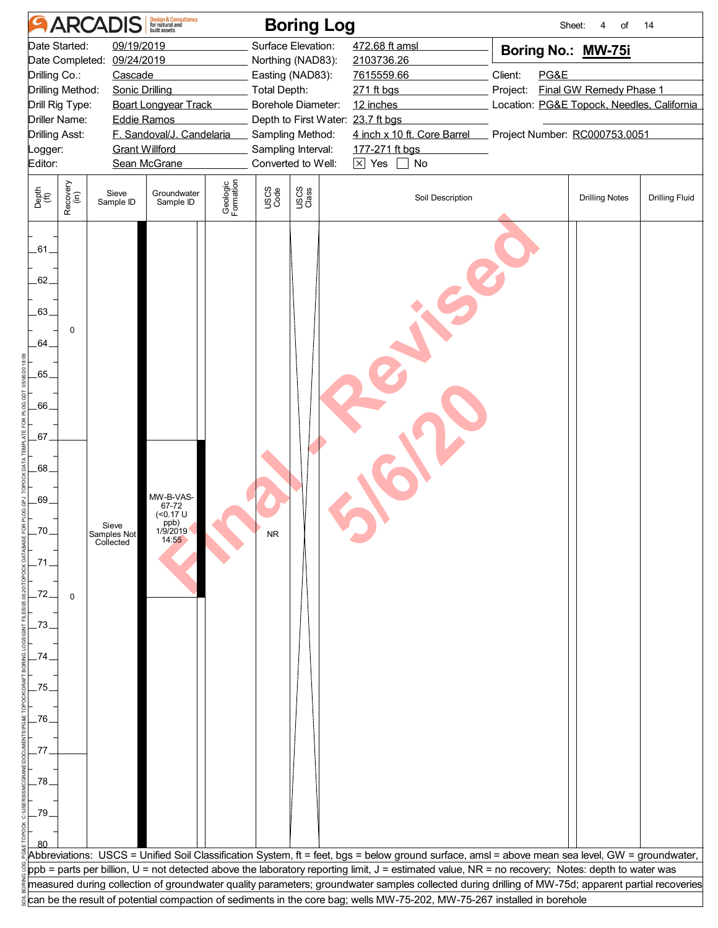|                                            | Design & Consultancy<br>for natural and<br>built assets<br><b>ARCADIS</b><br><b>Boring Log</b><br>Sheet:<br>14<br>of<br>4 |                            |                                                                |                       |                     |                                          |                                                                                                                                                    |          |      |                                            |                       |  |  |
|--------------------------------------------|---------------------------------------------------------------------------------------------------------------------------|----------------------------|----------------------------------------------------------------|-----------------------|---------------------|------------------------------------------|----------------------------------------------------------------------------------------------------------------------------------------------------|----------|------|--------------------------------------------|-----------------------|--|--|
|                                            | Date Started:                                                                                                             | 09/19/2019                 |                                                                |                       |                     | Surface Elevation:                       | 472.68 ft amsl                                                                                                                                     |          |      | Boring No.: MW-75i                         |                       |  |  |
|                                            |                                                                                                                           | Date Completed: 09/24/2019 |                                                                |                       |                     | Northing (NAD83):                        | 2103736.26                                                                                                                                         |          |      |                                            |                       |  |  |
| Drilling Co.:                              |                                                                                                                           | Cascade                    |                                                                |                       |                     | Easting (NAD83):                         | 7615559.66                                                                                                                                         | Client:  | PG&E |                                            |                       |  |  |
|                                            | Drilling Method:                                                                                                          | <b>Sonic Drilling</b>      |                                                                |                       | <b>Total Depth:</b> |                                          | 271 ft bgs                                                                                                                                         | Project: |      | Final GW Remedy Phase 1                    |                       |  |  |
|                                            | Drill Rig Type:                                                                                                           |                            | <b>Boart Longyear Track</b>                                    |                       |                     | Borehole Diameter:                       | 12 inches                                                                                                                                          |          |      | Location: PG&E Topock, Needles, California |                       |  |  |
|                                            | Driller Name:                                                                                                             | <b>Eddie Ramos</b>         |                                                                |                       |                     | Depth to First Water: 23.7 ft bgs        |                                                                                                                                                    |          |      |                                            |                       |  |  |
| <b>Drilling Asst:</b>                      |                                                                                                                           |                            | F. Sandoval/J. Candelaria                                      |                       |                     | Sampling Method:                         | 4 inch x 10 ft. Core Barrel                                                                                                                        |          |      | Project Number: RC000753.0051              |                       |  |  |
| Logger:                                    |                                                                                                                           | <b>Grant Willford</b>      |                                                                |                       |                     | Sampling Interval:<br>Converted to Well: | 177-271 ft bgs<br>$\boxed{\times}$ Yes<br>No                                                                                                       |          |      |                                            |                       |  |  |
| Editor:                                    |                                                                                                                           |                            | Sean McGrane                                                   |                       |                     |                                          |                                                                                                                                                    |          |      |                                            |                       |  |  |
| Depth<br>(ft)                              | Recovery<br>(in)                                                                                                          | Sieve<br>Sample ID         | Groundwater<br>Sample ID                                       | Geologic<br>Formation | USCS<br>Code        | USCS<br>Class                            | Soil Description                                                                                                                                   |          |      | <b>Drilling Notes</b>                      | <b>Drilling Fluid</b> |  |  |
| .61.<br>62.<br>$.63 -$<br>64<br>.65<br>.66 | 0                                                                                                                         |                            |                                                                |                       |                     |                                          |                                                                                                                                                    |          |      |                                            |                       |  |  |
| 67.<br>.68.                                |                                                                                                                           |                            |                                                                |                       |                     |                                          |                                                                                                                                                    |          |      |                                            |                       |  |  |
| .69.<br>70                                 |                                                                                                                           | Sieve                      | MW-B-VAS-<br>67-72<br>( <sub>0.17</sub> U)<br>ppb)<br>1/9/2019 |                       |                     |                                          |                                                                                                                                                    |          |      |                                            |                       |  |  |
| .71                                        |                                                                                                                           | Samples Not<br>Collected   | 14:55                                                          |                       |                     |                                          |                                                                                                                                                    |          |      |                                            |                       |  |  |
| 72                                         | $\mathbf 0$                                                                                                               |                            |                                                                |                       |                     |                                          |                                                                                                                                                    |          |      |                                            |                       |  |  |
| 73.                                        |                                                                                                                           |                            |                                                                |                       |                     |                                          |                                                                                                                                                    |          |      |                                            |                       |  |  |
| 74                                         |                                                                                                                           |                            |                                                                |                       |                     |                                          |                                                                                                                                                    |          |      |                                            |                       |  |  |
| 75,                                        |                                                                                                                           |                            |                                                                |                       |                     |                                          |                                                                                                                                                    |          |      |                                            |                       |  |  |
| .76.                                       |                                                                                                                           |                            |                                                                |                       |                     |                                          |                                                                                                                                                    |          |      |                                            |                       |  |  |
| 77                                         |                                                                                                                           |                            |                                                                |                       |                     |                                          |                                                                                                                                                    |          |      |                                            |                       |  |  |
| .78.                                       |                                                                                                                           |                            |                                                                |                       |                     |                                          |                                                                                                                                                    |          |      |                                            |                       |  |  |
| .79.                                       |                                                                                                                           |                            |                                                                |                       |                     |                                          |                                                                                                                                                    |          |      |                                            |                       |  |  |
|                                            |                                                                                                                           |                            |                                                                |                       |                     |                                          |                                                                                                                                                    |          |      |                                            |                       |  |  |
|                                            |                                                                                                                           |                            |                                                                |                       |                     |                                          | Abbreviations: USCS = Unified Soil Classification System, ft = feet, bgs = below ground surface, amsl = above mean sea level, GW = groundwater,    |          |      |                                            |                       |  |  |
|                                            |                                                                                                                           |                            |                                                                |                       |                     |                                          | ppb = parts per billion, U = not detected above the laboratory reporting limit, J = estimated value, NR = no recovery; Notes: depth to water was   |          |      |                                            |                       |  |  |
|                                            |                                                                                                                           |                            |                                                                |                       |                     |                                          | measured during collection of groundwater quality parameters; groundwater samples collected during drilling of MW-75d; apparent partial recoveries |          |      |                                            |                       |  |  |
|                                            |                                                                                                                           |                            |                                                                |                       |                     |                                          | can be the result of potential compaction of sediments in the core bag; wells MW-75-202, MW-75-267 installed in borehole                           |          |      |                                            |                       |  |  |
|                                            |                                                                                                                           |                            |                                                                |                       |                     |                                          |                                                                                                                                                    |          |      |                                            |                       |  |  |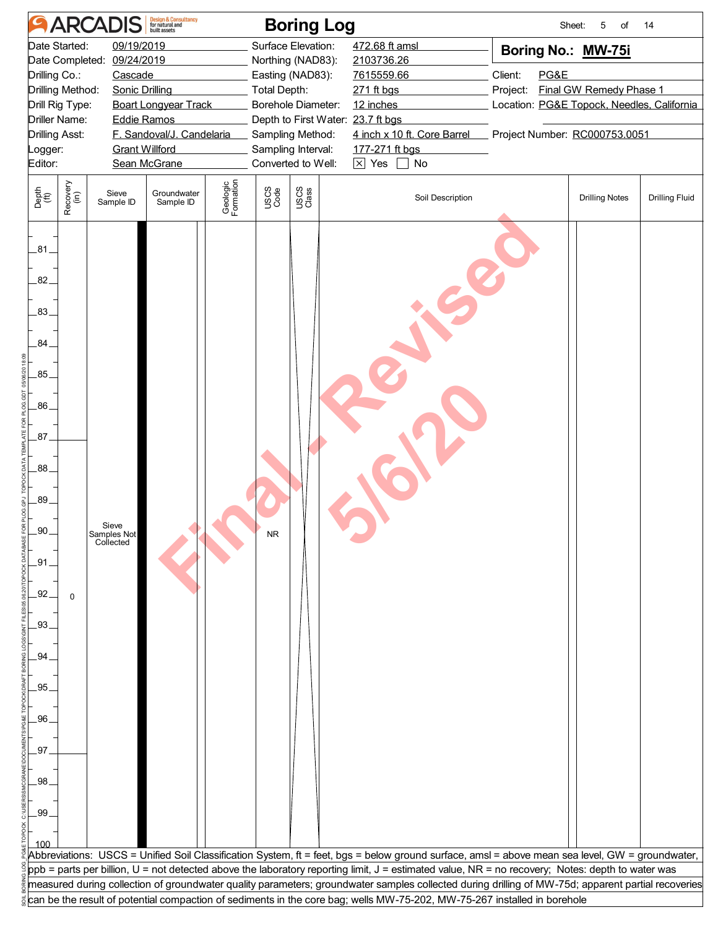|                                                                                                                                        | <b>Design &amp; Consultancy</b><br>for natural and<br><b>ARCADIS</b><br><b>Boring Log</b><br>Sheet:<br>of<br>14<br>5 |                                                                              |                                           |                       |                                                                                                   |                                                                                   |                                                                                                                                                                                                                                                                                                     |                     |      |                                                                                             |                       |  |  |
|----------------------------------------------------------------------------------------------------------------------------------------|----------------------------------------------------------------------------------------------------------------------|------------------------------------------------------------------------------|-------------------------------------------|-----------------------|---------------------------------------------------------------------------------------------------|-----------------------------------------------------------------------------------|-----------------------------------------------------------------------------------------------------------------------------------------------------------------------------------------------------------------------------------------------------------------------------------------------------|---------------------|------|---------------------------------------------------------------------------------------------|-----------------------|--|--|
| Drilling Co.:                                                                                                                          | Date Started:<br>Drilling Method:<br>Drill Rig Type:                                                                 | 09/19/2019<br>Date Completed: 09/24/2019<br>Cascade<br><b>Sonic Drilling</b> | <b>Boart Longyear Track</b>               |                       | Total Depth:                                                                                      | Surface Elevation:<br>Northing (NAD83):<br>Easting (NAD83):<br>Borehole Diameter: | 472.68 ft amsl<br>2103736.26<br>7615559.66<br>271 ft bgs<br>12 inches                                                                                                                                                                                                                               | Client:<br>Project: | PG&E | Boring No.: MW-75i<br>Final GW Remedy Phase 1<br>Location: PG&E Topock, Needles, California |                       |  |  |
| <b>Drilling Asst:</b><br>Logger:<br>Editor:                                                                                            | <b>Driller Name:</b>                                                                                                 | <b>Eddie Ramos</b><br><b>Grant Willford</b>                                  | F. Sandoval/J. Candelaria<br>Sean McGrane |                       | Depth to First Water: 23.7 ft bgs<br>Sampling Method:<br>Sampling Interval:<br>Converted to Well: |                                                                                   | 4 inch x 10 ft. Core Barrel<br>177-271 ft bgs<br>$\times$ Yes<br>$\Box$ No                                                                                                                                                                                                                          |                     |      | Project Number: RC000753.0051                                                               |                       |  |  |
| Depth<br>(ft)                                                                                                                          | Recovery<br>(in)                                                                                                     | Sieve<br>Sample ID                                                           | Groundwater<br>Sample ID                  | Geologic<br>Formation | USCS<br>Code                                                                                      | USCS<br>Class                                                                     | Soil Description                                                                                                                                                                                                                                                                                    |                     |      | <b>Drilling Notes</b>                                                                       | <b>Drilling Fluid</b> |  |  |
| .81.<br>82.<br>83<br>84<br>.85<br>.86<br>.87.<br>.88.<br>.89.<br>.90<br>$-91$<br>.92.<br>.93.<br>.94<br>95<br>.96<br>97<br>.98.<br>.99 | $\Omega$                                                                                                             | Sieve<br>Samples Not<br>Collected                                            |                                           |                       |                                                                                                   |                                                                                   |                                                                                                                                                                                                                                                                                                     |                     |      |                                                                                             |                       |  |  |
|                                                                                                                                        |                                                                                                                      |                                                                              |                                           |                       |                                                                                                   |                                                                                   | Abbreviations: USCS = Unified Soil Classification System, ft = feet, bgs = below ground surface, amsl = above mean sea level, GW = groundwater,<br>ppb = parts per billion, U = not detected above the laboratory reporting limit, J = estimated value, NR = no recovery; Notes: depth to water was |                     |      |                                                                                             |                       |  |  |
|                                                                                                                                        |                                                                                                                      |                                                                              |                                           |                       |                                                                                                   |                                                                                   | measured during collection of groundwater quality parameters; groundwater samples collected during drilling of MW-75d; apparent partial recoveries<br>can be the result of potential compaction of sediments in the core bag; wells MW-75-202, MW-75-267 installed in borehole                      |                     |      |                                                                                             |                       |  |  |
|                                                                                                                                        |                                                                                                                      |                                                                              |                                           |                       |                                                                                                   |                                                                                   |                                                                                                                                                                                                                                                                                                     |                     |      |                                                                                             |                       |  |  |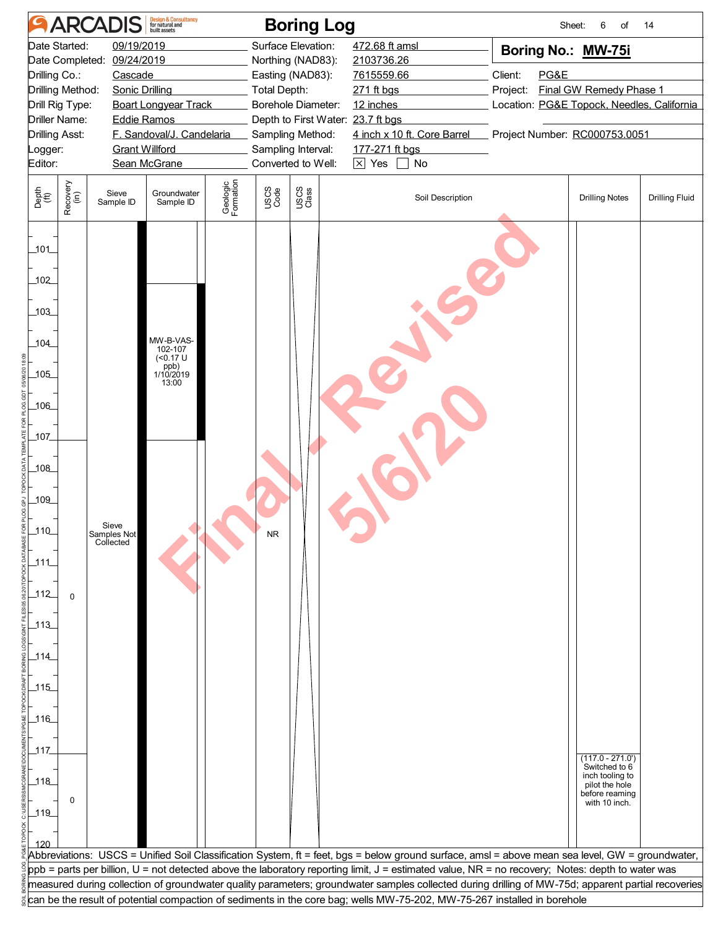![](_page_19_Figure_0.jpeg)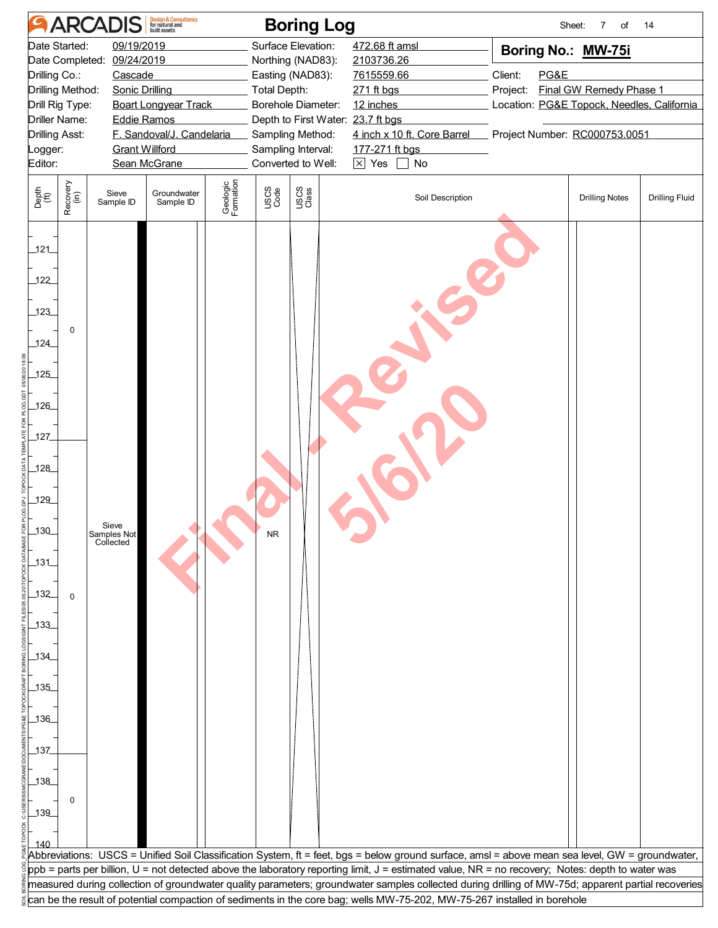|                          | Design & Consultancy<br>for natural and<br>built assets<br><b>ARCADIS</b><br><b>Boring Log</b><br>Sheet:<br>$\overline{7}$<br>of<br>14 |                                          |                             |                       |                     |                                         |                                                                                                                                                                                                                                                                                |          |      |                                            |                       |  |  |
|--------------------------|----------------------------------------------------------------------------------------------------------------------------------------|------------------------------------------|-----------------------------|-----------------------|---------------------|-----------------------------------------|--------------------------------------------------------------------------------------------------------------------------------------------------------------------------------------------------------------------------------------------------------------------------------|----------|------|--------------------------------------------|-----------------------|--|--|
|                          | Date Started:                                                                                                                          | 09/19/2019<br>Date Completed: 09/24/2019 |                             |                       |                     | Surface Elevation:<br>Northing (NAD83): | 472.68 ft amsl<br>2103736.26                                                                                                                                                                                                                                                   |          |      | Boring No.: MW-75i                         |                       |  |  |
| Drilling Co.:            |                                                                                                                                        | Cascade                                  |                             |                       |                     | Easting (NAD83):                        | 7615559.66                                                                                                                                                                                                                                                                     | Client:  | PG&E |                                            |                       |  |  |
|                          | Drilling Method:                                                                                                                       | <b>Sonic Drilling</b>                    |                             |                       | <b>Total Depth:</b> |                                         | 271 ft bgs                                                                                                                                                                                                                                                                     | Project: |      | <b>Final GW Remedy Phase 1</b>             |                       |  |  |
|                          | Drill Rig Type:                                                                                                                        |                                          | <b>Boart Longyear Track</b> |                       |                     | Borehole Diameter:                      | 12 inches                                                                                                                                                                                                                                                                      |          |      | Location: PG&E Topock, Needles, California |                       |  |  |
|                          | <b>Driller Name:</b>                                                                                                                   | <b>Eddie Ramos</b>                       |                             |                       |                     | Depth to First Water: 23.7 ft bgs       |                                                                                                                                                                                                                                                                                |          |      |                                            |                       |  |  |
| <b>Drilling Asst:</b>    |                                                                                                                                        |                                          | F. Sandoval/J. Candelaria   |                       |                     | Sampling Method:                        | 4 inch x 10 ft. Core Barrel                                                                                                                                                                                                                                                    |          |      | Project Number: RC000753.0051              |                       |  |  |
| Logger:                  |                                                                                                                                        | <b>Grant Willford</b>                    |                             |                       |                     | Sampling Interval:                      | 177-271 ft bgs                                                                                                                                                                                                                                                                 |          |      |                                            |                       |  |  |
| Editor:                  |                                                                                                                                        |                                          | Sean McGrane                |                       |                     | Converted to Well:                      | $\boxed{\times}$ Yes<br>No                                                                                                                                                                                                                                                     |          |      |                                            |                       |  |  |
| Depth<br>(ft)            | Recovery<br>(in)                                                                                                                       | Sieve<br>Sample ID                       | Groundwater<br>Sample ID    | Geologic<br>Formation | USCS<br>Code        | USCS<br>Class                           | Soil Description                                                                                                                                                                                                                                                               |          |      | <b>Drilling Notes</b>                      | <b>Drilling Fluid</b> |  |  |
| 121<br>122<br>123<br>124 | 0                                                                                                                                      |                                          |                             |                       |                     |                                         |                                                                                                                                                                                                                                                                                |          |      |                                            |                       |  |  |
| 125                      |                                                                                                                                        |                                          |                             |                       |                     |                                         |                                                                                                                                                                                                                                                                                |          |      |                                            |                       |  |  |
| 126                      |                                                                                                                                        |                                          |                             |                       |                     |                                         |                                                                                                                                                                                                                                                                                |          |      |                                            |                       |  |  |
| 127                      |                                                                                                                                        |                                          |                             |                       |                     |                                         |                                                                                                                                                                                                                                                                                |          |      |                                            |                       |  |  |
| 128                      |                                                                                                                                        |                                          |                             |                       |                     |                                         |                                                                                                                                                                                                                                                                                |          |      |                                            |                       |  |  |
| 129                      |                                                                                                                                        |                                          |                             |                       |                     |                                         |                                                                                                                                                                                                                                                                                |          |      |                                            |                       |  |  |
| 130                      |                                                                                                                                        | Sieve<br>Samples Not<br>Collected        |                             |                       |                     |                                         |                                                                                                                                                                                                                                                                                |          |      |                                            |                       |  |  |
| $-131$                   |                                                                                                                                        |                                          |                             |                       |                     |                                         |                                                                                                                                                                                                                                                                                |          |      |                                            |                       |  |  |
| 132                      | $\mathbf 0$                                                                                                                            |                                          |                             |                       |                     |                                         |                                                                                                                                                                                                                                                                                |          |      |                                            |                       |  |  |
| 133                      |                                                                                                                                        |                                          |                             |                       |                     |                                         |                                                                                                                                                                                                                                                                                |          |      |                                            |                       |  |  |
| 134                      |                                                                                                                                        |                                          |                             |                       |                     |                                         |                                                                                                                                                                                                                                                                                |          |      |                                            |                       |  |  |
| 135                      |                                                                                                                                        |                                          |                             |                       |                     |                                         |                                                                                                                                                                                                                                                                                |          |      |                                            |                       |  |  |
| _136_                    |                                                                                                                                        |                                          |                             |                       |                     |                                         |                                                                                                                                                                                                                                                                                |          |      |                                            |                       |  |  |
| 137                      |                                                                                                                                        |                                          |                             |                       |                     |                                         |                                                                                                                                                                                                                                                                                |          |      |                                            |                       |  |  |
| $138$                    |                                                                                                                                        |                                          |                             |                       |                     |                                         |                                                                                                                                                                                                                                                                                |          |      |                                            |                       |  |  |
|                          | 0                                                                                                                                      |                                          |                             |                       |                     |                                         |                                                                                                                                                                                                                                                                                |          |      |                                            |                       |  |  |
| $-139$                   |                                                                                                                                        |                                          |                             |                       |                     |                                         |                                                                                                                                                                                                                                                                                |          |      |                                            |                       |  |  |
|                          |                                                                                                                                        |                                          |                             |                       |                     |                                         |                                                                                                                                                                                                                                                                                |          |      |                                            |                       |  |  |
| 140                      |                                                                                                                                        |                                          |                             |                       |                     |                                         |                                                                                                                                                                                                                                                                                |          |      |                                            |                       |  |  |
|                          |                                                                                                                                        |                                          |                             |                       |                     |                                         | Abbreviations: USCS = Unified Soil Classification System, ft = feet, bgs = below ground surface, amsl = above mean sea level, GW = groundwater,                                                                                                                                |          |      |                                            |                       |  |  |
|                          |                                                                                                                                        |                                          |                             |                       |                     |                                         | ppb = parts per billion, U = not detected above the laboratory reporting limit, J = estimated value, NR = no recovery; Notes: depth to water was                                                                                                                               |          |      |                                            |                       |  |  |
|                          |                                                                                                                                        |                                          |                             |                       |                     |                                         | measured during collection of groundwater quality parameters; groundwater samples collected during drilling of MW-75d; apparent partial recoveries<br>can be the result of potential compaction of sediments in the core bag; wells MW-75-202, MW-75-267 installed in borehole |          |      |                                            |                       |  |  |
|                          |                                                                                                                                        |                                          |                             |                       |                     |                                         |                                                                                                                                                                                                                                                                                |          |      |                                            |                       |  |  |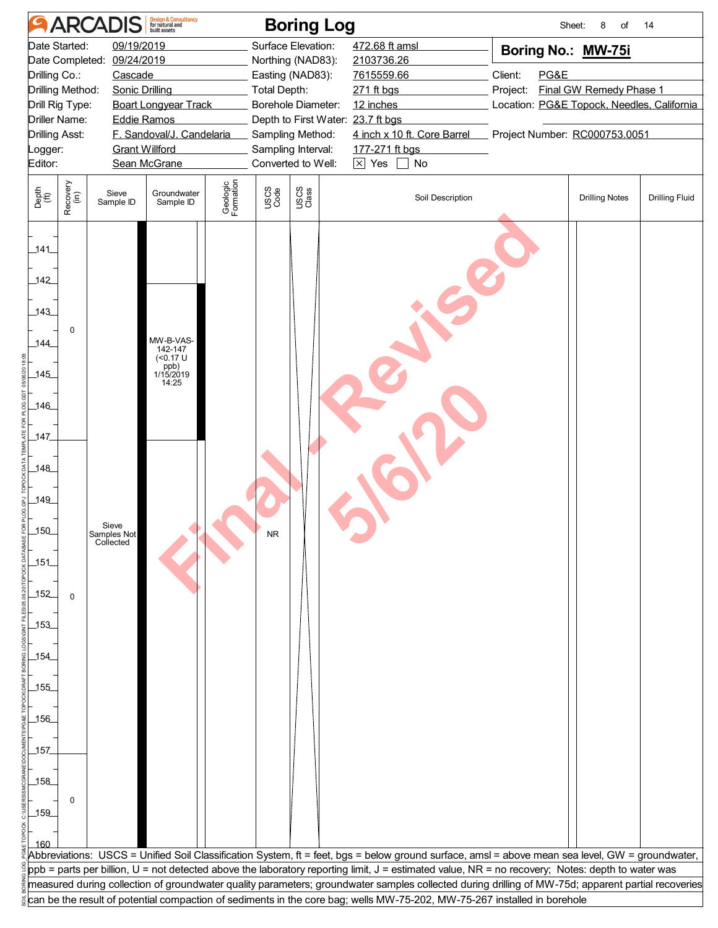![](_page_21_Figure_0.jpeg)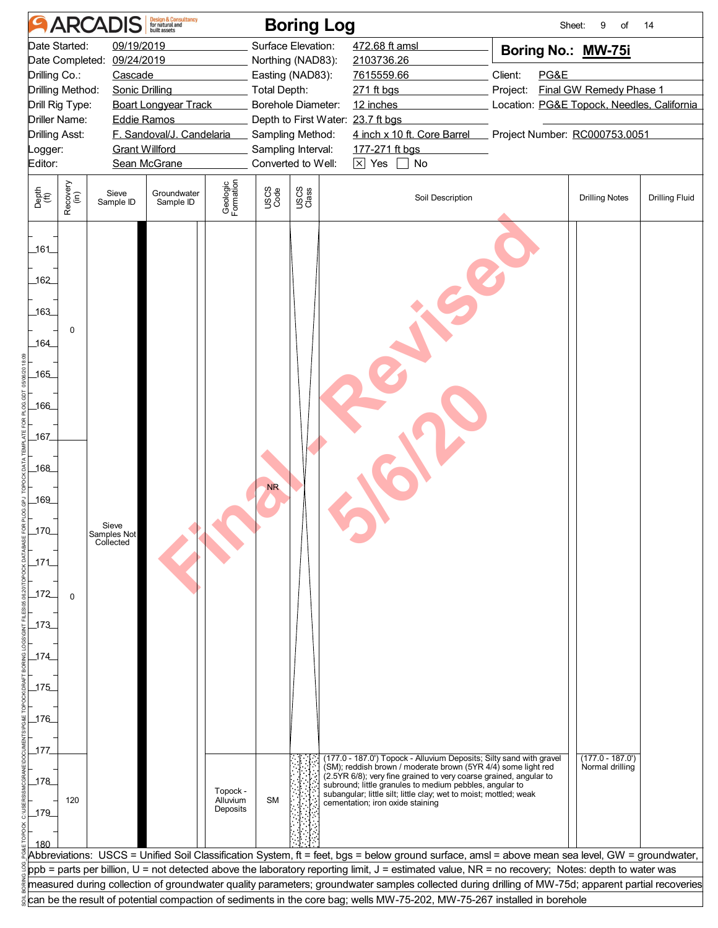|                       | Design & Consultancy<br>for natural and<br><b>ARCADIS</b><br><b>Boring Log</b><br>Sheet:<br>of<br>14<br>9                                                                                                                                                                                           |                                   |                             |                       |              |                    |                                                                                                                                                    |          |      |                                            |                       |  |  |
|-----------------------|-----------------------------------------------------------------------------------------------------------------------------------------------------------------------------------------------------------------------------------------------------------------------------------------------------|-----------------------------------|-----------------------------|-----------------------|--------------|--------------------|----------------------------------------------------------------------------------------------------------------------------------------------------|----------|------|--------------------------------------------|-----------------------|--|--|
|                       | Date Started:                                                                                                                                                                                                                                                                                       | 09/19/2019                        |                             |                       |              | Surface Elevation: | 472.68 ft amsl                                                                                                                                     |          |      | Boring No.: MW-75i                         |                       |  |  |
|                       |                                                                                                                                                                                                                                                                                                     | Date Completed: 09/24/2019        |                             |                       |              | Northing (NAD83):  | 2103736.26                                                                                                                                         |          |      |                                            |                       |  |  |
| Drilling Co.:         |                                                                                                                                                                                                                                                                                                     | Cascade                           |                             |                       |              | Easting (NAD83):   | 7615559.66                                                                                                                                         | Client:  | PG&E |                                            |                       |  |  |
|                       | Drilling Method:                                                                                                                                                                                                                                                                                    | <b>Sonic Drilling</b>             |                             |                       | Total Depth: |                    | 271 ft bgs                                                                                                                                         | Project: |      | <b>Final GW Remedy Phase 1</b>             |                       |  |  |
|                       | Drill Rig Type:                                                                                                                                                                                                                                                                                     |                                   | <b>Boart Longyear Track</b> |                       |              | Borehole Diameter: | 12 inches                                                                                                                                          |          |      | Location: PG&E Topock, Needles, California |                       |  |  |
|                       | Driller Name:                                                                                                                                                                                                                                                                                       | <b>Eddie Ramos</b>                |                             |                       |              |                    | Depth to First Water: 23.7 ft bgs                                                                                                                  |          |      |                                            |                       |  |  |
| <b>Drilling Asst:</b> |                                                                                                                                                                                                                                                                                                     |                                   | F. Sandoval/J. Candelaria   |                       |              | Sampling Method:   | 4 inch x 10 ft. Core Barrel                                                                                                                        |          |      | Project Number: RC000753.0051              |                       |  |  |
| _ogger:               |                                                                                                                                                                                                                                                                                                     | <b>Grant Willford</b>             |                             |                       |              | Sampling Interval: | 177-271 ft bgs                                                                                                                                     |          |      |                                            |                       |  |  |
| Editor:               |                                                                                                                                                                                                                                                                                                     |                                   | Sean McGrane                |                       |              | Converted to Well: | $\times$ Yes<br>$\blacksquare$ No                                                                                                                  |          |      |                                            |                       |  |  |
| Depth<br>(ft)         | Recovery<br>(in)                                                                                                                                                                                                                                                                                    | Sieve<br>Sample ID                | Groundwater<br>Sample ID    | Geologic<br>Formation | USCS<br>Code | USCS<br>Class      | Soil Description                                                                                                                                   |          |      | <b>Drilling Notes</b>                      | <b>Drilling Fluid</b> |  |  |
| _161_                 |                                                                                                                                                                                                                                                                                                     |                                   |                             |                       |              |                    |                                                                                                                                                    |          |      |                                            |                       |  |  |
| 162<br>163            | 0                                                                                                                                                                                                                                                                                                   |                                   |                             |                       |              |                    |                                                                                                                                                    |          |      |                                            |                       |  |  |
| 164                   |                                                                                                                                                                                                                                                                                                     |                                   |                             |                       |              |                    |                                                                                                                                                    |          |      |                                            |                       |  |  |
| 165                   |                                                                                                                                                                                                                                                                                                     |                                   |                             |                       |              |                    |                                                                                                                                                    |          |      |                                            |                       |  |  |
| _166_<br>167          |                                                                                                                                                                                                                                                                                                     |                                   |                             |                       |              |                    |                                                                                                                                                    |          |      |                                            |                       |  |  |
| 168                   |                                                                                                                                                                                                                                                                                                     |                                   |                             |                       |              |                    |                                                                                                                                                    |          |      |                                            |                       |  |  |
| 169                   |                                                                                                                                                                                                                                                                                                     |                                   |                             |                       | <b>NR</b>    |                    |                                                                                                                                                    |          |      |                                            |                       |  |  |
| 170                   |                                                                                                                                                                                                                                                                                                     | Sieve<br>Samples Not<br>Collected |                             |                       |              |                    |                                                                                                                                                    |          |      |                                            |                       |  |  |
| $171$                 |                                                                                                                                                                                                                                                                                                     |                                   |                             |                       |              |                    |                                                                                                                                                    |          |      |                                            |                       |  |  |
| _172                  | $\Omega$                                                                                                                                                                                                                                                                                            |                                   |                             |                       |              |                    |                                                                                                                                                    |          |      |                                            |                       |  |  |
| 173                   |                                                                                                                                                                                                                                                                                                     |                                   |                             |                       |              |                    |                                                                                                                                                    |          |      |                                            |                       |  |  |
| $174$                 |                                                                                                                                                                                                                                                                                                     |                                   |                             |                       |              |                    |                                                                                                                                                    |          |      |                                            |                       |  |  |
| 175                   |                                                                                                                                                                                                                                                                                                     |                                   |                             |                       |              |                    |                                                                                                                                                    |          |      |                                            |                       |  |  |
| $176$                 |                                                                                                                                                                                                                                                                                                     |                                   |                             |                       |              |                    |                                                                                                                                                    |          |      |                                            |                       |  |  |
| 177                   |                                                                                                                                                                                                                                                                                                     |                                   |                             |                       |              |                    |                                                                                                                                                    |          |      |                                            |                       |  |  |
|                       |                                                                                                                                                                                                                                                                                                     |                                   |                             |                       |              |                    | (177.0 - 187.0') Topock - Alluvium Deposits; Silty sand with gravel<br>(SM); reddish brown / moderate brown (5YR 4/4) some light red               |          |      | $(177.0 - 187.0)$<br>Normal drilling       |                       |  |  |
| $178$                 |                                                                                                                                                                                                                                                                                                     |                                   |                             | Topock -              |              |                    | (2.5YR 6/8); very fine grained to very coarse grained, angular to<br>subround; little granules to medium pebbles, angular to                       |          |      |                                            |                       |  |  |
|                       | 120                                                                                                                                                                                                                                                                                                 |                                   |                             | Alluvium              | <b>SM</b>    |                    | subangular; little silt; little clay; wet to moist; mottled; weak<br>cementation; iron oxide staining                                              |          |      |                                            |                       |  |  |
| 179                   |                                                                                                                                                                                                                                                                                                     |                                   |                             | Deposits              |              |                    |                                                                                                                                                    |          |      |                                            |                       |  |  |
| 180                   |                                                                                                                                                                                                                                                                                                     |                                   |                             |                       |              |                    |                                                                                                                                                    |          |      |                                            |                       |  |  |
|                       |                                                                                                                                                                                                                                                                                                     |                                   |                             |                       |              |                    |                                                                                                                                                    |          |      |                                            |                       |  |  |
|                       | Abbreviations: USCS = Unified Soil Classification System, ft = feet, bgs = below ground surface, amsl = above mean sea level, GW = groundwater,<br>ppb = parts per billion, U = not detected above the laboratory reporting limit, J = estimated value, NR = no recovery; Notes: depth to water was |                                   |                             |                       |              |                    |                                                                                                                                                    |          |      |                                            |                       |  |  |
|                       |                                                                                                                                                                                                                                                                                                     |                                   |                             |                       |              |                    | measured during collection of groundwater quality parameters; groundwater samples collected during drilling of MW-75d; apparent partial recoveries |          |      |                                            |                       |  |  |
|                       |                                                                                                                                                                                                                                                                                                     |                                   |                             |                       |              |                    | can be the result of potential compaction of sediments in the core bag; wells MW-75-202, MW-75-267 installed in borehole                           |          |      |                                            |                       |  |  |
|                       |                                                                                                                                                                                                                                                                                                     |                                   |                             |                       |              |                    |                                                                                                                                                    |          |      |                                            |                       |  |  |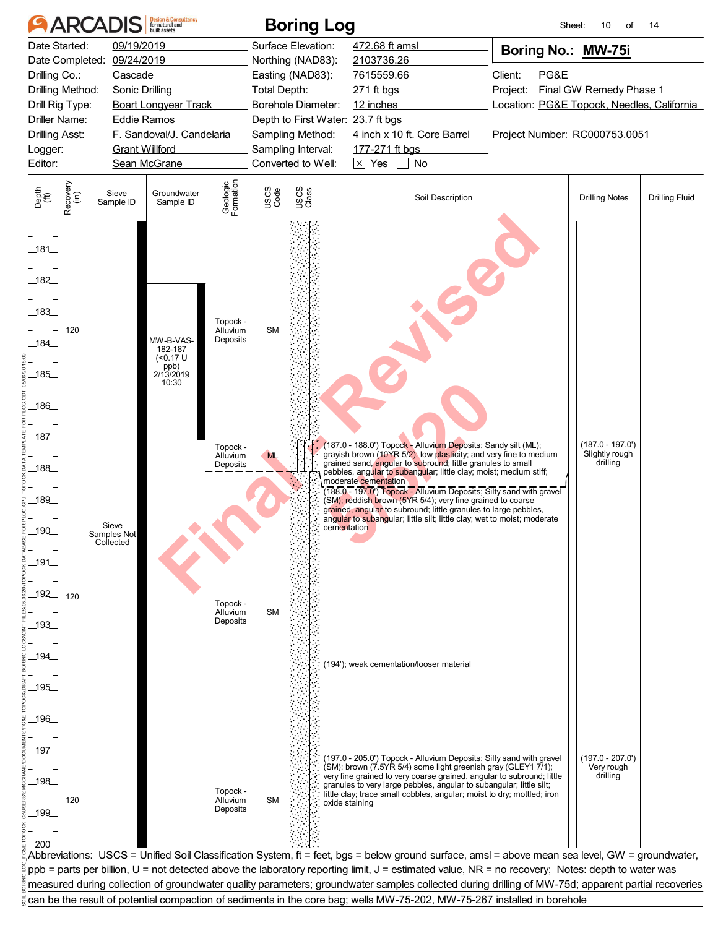|                       | <b>Design &amp; Consultancy</b><br>for natural and<br><b>ARCADIS</b><br><b>Boring Log</b><br>Sheet:<br>10<br>οf<br>14                              |                            |                              |                       |                    |               |                                                                                                                                               |                                            |                                  |                       |  |  |  |  |
|-----------------------|----------------------------------------------------------------------------------------------------------------------------------------------------|----------------------------|------------------------------|-----------------------|--------------------|---------------|-----------------------------------------------------------------------------------------------------------------------------------------------|--------------------------------------------|----------------------------------|-----------------------|--|--|--|--|
| Date Started:         |                                                                                                                                                    | 09/19/2019                 |                              |                       | Surface Elevation: |               | 472.68 ft amsl                                                                                                                                | Boring No.: MW-75i                         |                                  |                       |  |  |  |  |
|                       |                                                                                                                                                    | Date Completed: 09/24/2019 |                              |                       | Northing (NAD83):  |               | 2103736.26                                                                                                                                    |                                            |                                  |                       |  |  |  |  |
| Drilling Co.:         |                                                                                                                                                    | Cascade                    |                              |                       | Easting (NAD83):   |               | 7615559.66                                                                                                                                    | Client:<br>PG&E                            |                                  |                       |  |  |  |  |
| Drilling Method:      |                                                                                                                                                    | Sonic Drilling             |                              |                       | Total Depth:       |               | 271 ft bgs                                                                                                                                    | Project:                                   | Final GW Remedy Phase 1          |                       |  |  |  |  |
| Drill Rig Type:       |                                                                                                                                                    |                            | <b>Boart Longyear Track</b>  |                       | Borehole Diameter: |               | 12 inches                                                                                                                                     | Location: PG&E Topock, Needles, California |                                  |                       |  |  |  |  |
| <b>Driller Name:</b>  |                                                                                                                                                    |                            | <b>Eddie Ramos</b>           |                       |                    |               | Depth to First Water: 23.7 ft bgs                                                                                                             |                                            |                                  |                       |  |  |  |  |
| <b>Drilling Asst:</b> |                                                                                                                                                    |                            | F. Sandoval/J. Candelaria    |                       | Sampling Method:   |               | 4 inch x 10 ft. Core Barrel                                                                                                                   | Project Number: RC000753.0051              |                                  |                       |  |  |  |  |
| Logger:               |                                                                                                                                                    |                            | <b>Grant Willford</b>        |                       | Sampling Interval: |               | 177-271 ft bgs                                                                                                                                |                                            |                                  |                       |  |  |  |  |
| Editor:               |                                                                                                                                                    |                            | Sean McGrane                 |                       | Converted to Well: |               | $\boxed{\times}$ Yes $\boxed{\phantom{0}}$ No                                                                                                 |                                            |                                  |                       |  |  |  |  |
| Depth<br>(ft)         | Recovery<br>(in)                                                                                                                                   | Sieve<br>Sample ID         | Groundwater<br>Sample ID     | Geologic<br>Formation | USCS<br>Code       | USCS<br>Class | Soil Description                                                                                                                              |                                            | <b>Drilling Notes</b>            | <b>Drilling Fluid</b> |  |  |  |  |
|                       |                                                                                                                                                    |                            |                              |                       |                    |               |                                                                                                                                               |                                            |                                  |                       |  |  |  |  |
|                       |                                                                                                                                                    |                            |                              |                       |                    |               |                                                                                                                                               |                                            |                                  |                       |  |  |  |  |
| _181_                 |                                                                                                                                                    |                            |                              |                       |                    |               |                                                                                                                                               |                                            |                                  |                       |  |  |  |  |
|                       |                                                                                                                                                    |                            |                              |                       |                    |               |                                                                                                                                               |                                            |                                  |                       |  |  |  |  |
| 182                   |                                                                                                                                                    |                            |                              |                       |                    |               |                                                                                                                                               |                                            |                                  |                       |  |  |  |  |
|                       |                                                                                                                                                    |                            |                              |                       |                    |               |                                                                                                                                               |                                            |                                  |                       |  |  |  |  |
| 183                   |                                                                                                                                                    |                            |                              | Topock -              |                    |               |                                                                                                                                               |                                            |                                  |                       |  |  |  |  |
|                       | 120                                                                                                                                                |                            | MW-B-VAS-                    | Alluvium<br>Deposits  | <b>SM</b>          |               |                                                                                                                                               |                                            |                                  |                       |  |  |  |  |
| 184                   |                                                                                                                                                    |                            | 182-187<br>$(0.17 \text{ U}$ |                       |                    |               |                                                                                                                                               |                                            |                                  |                       |  |  |  |  |
|                       |                                                                                                                                                    |                            | ppb)<br>2/13/2019            |                       |                    |               |                                                                                                                                               |                                            |                                  |                       |  |  |  |  |
| _185_                 |                                                                                                                                                    |                            | 10:30                        |                       |                    |               |                                                                                                                                               |                                            |                                  |                       |  |  |  |  |
|                       |                                                                                                                                                    |                            |                              |                       |                    |               |                                                                                                                                               |                                            |                                  |                       |  |  |  |  |
| _186_                 |                                                                                                                                                    |                            |                              |                       |                    |               |                                                                                                                                               |                                            |                                  |                       |  |  |  |  |
|                       |                                                                                                                                                    |                            |                              |                       |                    |               |                                                                                                                                               |                                            |                                  |                       |  |  |  |  |
| 187                   |                                                                                                                                                    |                            |                              | Topock -              |                    |               | (187.0 - 188.0') Topock - Alluvium Deposits; Sandy silt (ML);                                                                                 |                                            | $(187.0 - 197.0')$               |                       |  |  |  |  |
|                       |                                                                                                                                                    |                            |                              | Alluvium<br>Deposits  | <b>ML</b>          |               | grayish brown (10YR 5/2); low plasticity; and very fine to medium<br>grained sand, angular to subround; little granules to small              |                                            | Slightly rough<br>drilling       |                       |  |  |  |  |
| 188                   |                                                                                                                                                    |                            |                              |                       |                    |               | pebbles, angular to subangular; little clay; moist; medium stiff;<br>moderate cementation                                                     |                                            |                                  |                       |  |  |  |  |
|                       |                                                                                                                                                    |                            |                              |                       |                    |               | (188.0 - 197.0') Topock - Alluvium Deposits; Silty sand with gravel                                                                           |                                            |                                  |                       |  |  |  |  |
| 189                   |                                                                                                                                                    |                            |                              |                       |                    |               | (SM); reddish brown (5YR 5/4); very fine grained to coarse<br>grained, angular to subround; little granules to large pebbles,                 |                                            |                                  |                       |  |  |  |  |
|                       |                                                                                                                                                    | Sieve                      |                              |                       |                    |               | angular to subangular; little silt; little clay; wet to moist; moderate<br>cementation                                                        |                                            |                                  |                       |  |  |  |  |
| 190                   |                                                                                                                                                    | Samples No<br>Collected    |                              |                       |                    |               |                                                                                                                                               |                                            |                                  |                       |  |  |  |  |
|                       |                                                                                                                                                    |                            |                              |                       |                    |               |                                                                                                                                               |                                            |                                  |                       |  |  |  |  |
| _191_                 |                                                                                                                                                    |                            |                              |                       |                    |               |                                                                                                                                               |                                            |                                  |                       |  |  |  |  |
|                       |                                                                                                                                                    |                            |                              |                       |                    |               |                                                                                                                                               |                                            |                                  |                       |  |  |  |  |
| _192_                 | 120                                                                                                                                                |                            |                              | Topock -              |                    |               |                                                                                                                                               |                                            |                                  |                       |  |  |  |  |
|                       |                                                                                                                                                    |                            |                              | Alluvium<br>Deposits  | <b>SM</b>          |               |                                                                                                                                               |                                            |                                  |                       |  |  |  |  |
| _193_                 |                                                                                                                                                    |                            |                              |                       |                    |               |                                                                                                                                               |                                            |                                  |                       |  |  |  |  |
| $-194$                |                                                                                                                                                    |                            |                              |                       |                    |               |                                                                                                                                               |                                            |                                  |                       |  |  |  |  |
|                       |                                                                                                                                                    |                            |                              |                       |                    |               | (194'); weak cementation/looser material                                                                                                      |                                            |                                  |                       |  |  |  |  |
| _195_                 |                                                                                                                                                    |                            |                              |                       |                    |               |                                                                                                                                               |                                            |                                  |                       |  |  |  |  |
|                       |                                                                                                                                                    |                            |                              |                       |                    |               |                                                                                                                                               |                                            |                                  |                       |  |  |  |  |
| _196_                 |                                                                                                                                                    |                            |                              |                       |                    |               |                                                                                                                                               |                                            |                                  |                       |  |  |  |  |
|                       |                                                                                                                                                    |                            |                              |                       |                    |               |                                                                                                                                               |                                            |                                  |                       |  |  |  |  |
| _197_                 |                                                                                                                                                    |                            |                              |                       |                    |               |                                                                                                                                               |                                            |                                  |                       |  |  |  |  |
|                       |                                                                                                                                                    |                            |                              |                       |                    |               | (197.0 - 205.0') Topock - Alluvium Deposits; Silty sand with gravel<br>(SM); brown (7.5YR 5/4) some light greenish gray (GLEY1 7/1);          |                                            | $(197.0 - 207.0')$<br>Very rough |                       |  |  |  |  |
| 198                   |                                                                                                                                                    |                            |                              |                       |                    |               | very fine grained to very coarse grained, angular to subround; little                                                                         |                                            | drilling                         |                       |  |  |  |  |
|                       |                                                                                                                                                    |                            |                              | Topock -              |                    |               | granules to very large pebbles, angular to subangular; little silt;<br>little clay; trace small cobbles, angular; moist to dry; mottled; iron |                                            |                                  |                       |  |  |  |  |
| $-199$                | 120                                                                                                                                                |                            |                              | Alluvium<br>Deposits  | <b>SM</b>          |               | oxide staining                                                                                                                                |                                            |                                  |                       |  |  |  |  |
|                       |                                                                                                                                                    |                            |                              |                       |                    |               |                                                                                                                                               |                                            |                                  |                       |  |  |  |  |
| 200                   |                                                                                                                                                    |                            |                              |                       |                    |               |                                                                                                                                               |                                            |                                  |                       |  |  |  |  |
|                       | Abbreviations: USCS = Unified Soil Classification System, ft = feet, bgs = below ground surface, amsl = above mean sea level, GW = groundwater,    |                            |                              |                       |                    |               |                                                                                                                                               |                                            |                                  |                       |  |  |  |  |
|                       | ppb = parts per billion, U = not detected above the laboratory reporting limit, J = estimated value, NR = no recovery; Notes: depth to water was   |                            |                              |                       |                    |               |                                                                                                                                               |                                            |                                  |                       |  |  |  |  |
|                       | measured during collection of groundwater quality parameters; groundwater samples collected during drilling of MW-75d; apparent partial recoveries |                            |                              |                       |                    |               |                                                                                                                                               |                                            |                                  |                       |  |  |  |  |
|                       |                                                                                                                                                    |                            |                              |                       |                    |               | can be the result of potential compaction of sediments in the core bag; wells MW-75-202, MW-75-267 installed in borehole                      |                                            |                                  |                       |  |  |  |  |
|                       |                                                                                                                                                    |                            |                              |                       |                    |               |                                                                                                                                               |                                            |                                  |                       |  |  |  |  |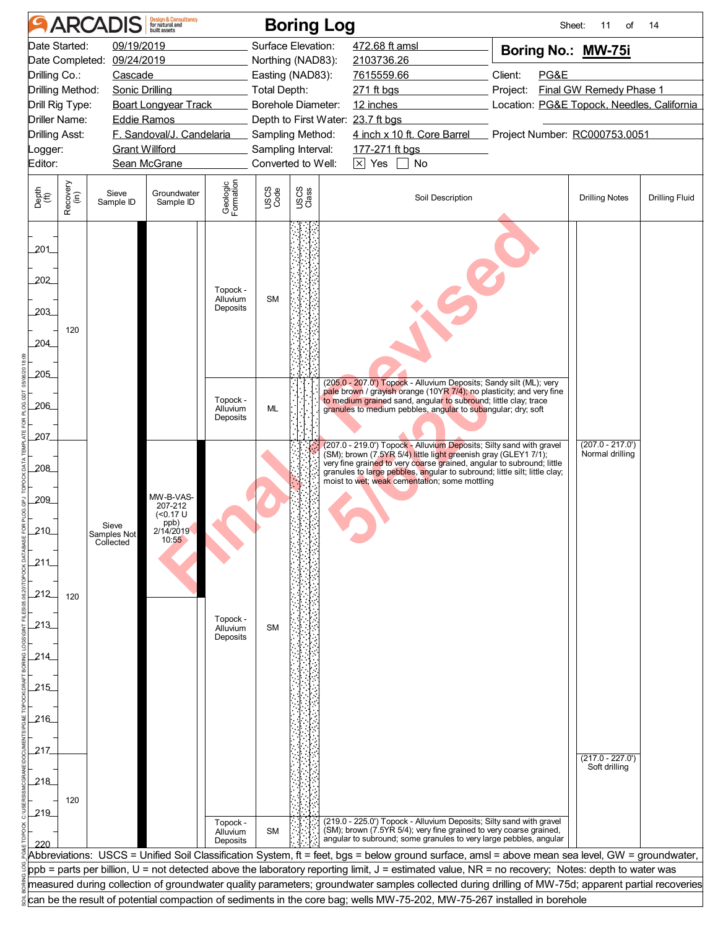| 09/19/2019<br>Surface Elevation:<br>Date Started:<br>472.68 ft amsl<br>Boring No.: MW-75i<br>Date Completed: 09/24/2019<br>Northing (NAD83):<br>2103736.26<br>Drilling Co.:<br>Client:<br>PG&E<br>Cascade<br>Easting (NAD83):<br>7615559.66<br>Drilling Method:<br>Project:<br>Final GW Remedy Phase 1<br>Sonic Drilling<br>Total Depth:<br>271 ft bgs<br><b>Boart Longyear Track</b><br>Borehole Diameter:<br>12 inches<br>Location: PG&E Topock, Needles, California<br>Drill Rig Type:<br><b>Driller Name:</b><br>Depth to First Water: 23.7 ft bgs<br><b>Eddie Ramos</b><br>F. Sandoval/J. Candelaria<br>4 inch x 10 ft. Core Barrel Project Number: RC000753.0051<br><b>Drilling Asst:</b><br>Sampling Method:<br><b>Grant Willford</b><br>Sampling Interval:<br>177-271 ft bgs<br>Logger:<br>Converted to Well:<br>$\boxed{\times}$ Yes $\boxed{\phantom{0}}$ No<br>Editor:<br>Sean McGrane<br>Geologic<br>Formation<br>Recovery<br>(in)<br>USCS<br>Class<br>USCS<br>Code<br>Depth<br>(ft)<br>Groundwater<br>Sieve<br>Soil Description<br><b>Drilling Notes</b><br><b>Drilling Fluid</b><br>Sample ID<br>Sample ID<br>201_<br>202<br>Topock -<br><b>SM</b><br>Alluvium<br>Deposits<br>203<br>120<br>204<br>205<br>(205.0 - 207.0') Topock - Alluvium Deposits; Sandy silt (ML); very<br>pale brown / grayish orange (10YR 7/4); no plasticity; and very fine<br>Topock -<br>to medium grained sand, angular to subround; little clay; trace<br>206<br>ML<br>Alluvium<br>granules to medium pebbles, angular to subangular; dry; soft<br>Deposits<br>207<br>$(207.0 - 217.0')$<br>(207.0 - 219.0') Topock - Alluvium Deposits; Silty sand with gravel<br>(SM); brown (7.5YR 5/4) little light greenish gray (GLEY1 7/1);<br>Normal drilling<br>very fine grained to very coarse grained, angular to subround; little<br>$-208$<br>granules to large pebbles, angular to subround; little silt; little clay;<br>moist to wet; weak cementation; some mottling<br>MW-B-VAS-<br>209<br>207-212<br>( <sub>0.17</sub> U)<br>ppb)<br>Sieve<br>210<br>2/14/2019<br>Samples Not<br>10:55<br>Collected<br>211<br>212<br>120<br>Topock -<br>213<br>Alluvium<br><b>SM</b><br>Deposits<br>214<br>215<br>216<br>217<br>$(217.0 - 227.0')$<br>Soft drilling<br>218<br>120 |     | <b>Design &amp; Consultancy</b><br>for natural and<br><b>ARCADIS</b><br><b>Boring Log</b><br>Sheet:<br>11<br>of<br>14                              |  |  |  |  |  |  |  |  |  |  |  |  |  |
|------------------------------------------------------------------------------------------------------------------------------------------------------------------------------------------------------------------------------------------------------------------------------------------------------------------------------------------------------------------------------------------------------------------------------------------------------------------------------------------------------------------------------------------------------------------------------------------------------------------------------------------------------------------------------------------------------------------------------------------------------------------------------------------------------------------------------------------------------------------------------------------------------------------------------------------------------------------------------------------------------------------------------------------------------------------------------------------------------------------------------------------------------------------------------------------------------------------------------------------------------------------------------------------------------------------------------------------------------------------------------------------------------------------------------------------------------------------------------------------------------------------------------------------------------------------------------------------------------------------------------------------------------------------------------------------------------------------------------------------------------------------------------------------------------------------------------------------------------------------------------------------------------------------------------------------------------------------------------------------------------------------------------------------------------------------------------------------------------------------------------------------------------------------------------------------------------------------------------------------------------------------|-----|----------------------------------------------------------------------------------------------------------------------------------------------------|--|--|--|--|--|--|--|--|--|--|--|--|--|
|                                                                                                                                                                                                                                                                                                                                                                                                                                                                                                                                                                                                                                                                                                                                                                                                                                                                                                                                                                                                                                                                                                                                                                                                                                                                                                                                                                                                                                                                                                                                                                                                                                                                                                                                                                                                                                                                                                                                                                                                                                                                                                                                                                                                                                                                  |     |                                                                                                                                                    |  |  |  |  |  |  |  |  |  |  |  |  |  |
|                                                                                                                                                                                                                                                                                                                                                                                                                                                                                                                                                                                                                                                                                                                                                                                                                                                                                                                                                                                                                                                                                                                                                                                                                                                                                                                                                                                                                                                                                                                                                                                                                                                                                                                                                                                                                                                                                                                                                                                                                                                                                                                                                                                                                                                                  |     |                                                                                                                                                    |  |  |  |  |  |  |  |  |  |  |  |  |  |
|                                                                                                                                                                                                                                                                                                                                                                                                                                                                                                                                                                                                                                                                                                                                                                                                                                                                                                                                                                                                                                                                                                                                                                                                                                                                                                                                                                                                                                                                                                                                                                                                                                                                                                                                                                                                                                                                                                                                                                                                                                                                                                                                                                                                                                                                  |     |                                                                                                                                                    |  |  |  |  |  |  |  |  |  |  |  |  |  |
|                                                                                                                                                                                                                                                                                                                                                                                                                                                                                                                                                                                                                                                                                                                                                                                                                                                                                                                                                                                                                                                                                                                                                                                                                                                                                                                                                                                                                                                                                                                                                                                                                                                                                                                                                                                                                                                                                                                                                                                                                                                                                                                                                                                                                                                                  |     |                                                                                                                                                    |  |  |  |  |  |  |  |  |  |  |  |  |  |
|                                                                                                                                                                                                                                                                                                                                                                                                                                                                                                                                                                                                                                                                                                                                                                                                                                                                                                                                                                                                                                                                                                                                                                                                                                                                                                                                                                                                                                                                                                                                                                                                                                                                                                                                                                                                                                                                                                                                                                                                                                                                                                                                                                                                                                                                  |     |                                                                                                                                                    |  |  |  |  |  |  |  |  |  |  |  |  |  |
|                                                                                                                                                                                                                                                                                                                                                                                                                                                                                                                                                                                                                                                                                                                                                                                                                                                                                                                                                                                                                                                                                                                                                                                                                                                                                                                                                                                                                                                                                                                                                                                                                                                                                                                                                                                                                                                                                                                                                                                                                                                                                                                                                                                                                                                                  |     |                                                                                                                                                    |  |  |  |  |  |  |  |  |  |  |  |  |  |
|                                                                                                                                                                                                                                                                                                                                                                                                                                                                                                                                                                                                                                                                                                                                                                                                                                                                                                                                                                                                                                                                                                                                                                                                                                                                                                                                                                                                                                                                                                                                                                                                                                                                                                                                                                                                                                                                                                                                                                                                                                                                                                                                                                                                                                                                  |     |                                                                                                                                                    |  |  |  |  |  |  |  |  |  |  |  |  |  |
|                                                                                                                                                                                                                                                                                                                                                                                                                                                                                                                                                                                                                                                                                                                                                                                                                                                                                                                                                                                                                                                                                                                                                                                                                                                                                                                                                                                                                                                                                                                                                                                                                                                                                                                                                                                                                                                                                                                                                                                                                                                                                                                                                                                                                                                                  |     |                                                                                                                                                    |  |  |  |  |  |  |  |  |  |  |  |  |  |
|                                                                                                                                                                                                                                                                                                                                                                                                                                                                                                                                                                                                                                                                                                                                                                                                                                                                                                                                                                                                                                                                                                                                                                                                                                                                                                                                                                                                                                                                                                                                                                                                                                                                                                                                                                                                                                                                                                                                                                                                                                                                                                                                                                                                                                                                  |     |                                                                                                                                                    |  |  |  |  |  |  |  |  |  |  |  |  |  |
|                                                                                                                                                                                                                                                                                                                                                                                                                                                                                                                                                                                                                                                                                                                                                                                                                                                                                                                                                                                                                                                                                                                                                                                                                                                                                                                                                                                                                                                                                                                                                                                                                                                                                                                                                                                                                                                                                                                                                                                                                                                                                                                                                                                                                                                                  |     |                                                                                                                                                    |  |  |  |  |  |  |  |  |  |  |  |  |  |
|                                                                                                                                                                                                                                                                                                                                                                                                                                                                                                                                                                                                                                                                                                                                                                                                                                                                                                                                                                                                                                                                                                                                                                                                                                                                                                                                                                                                                                                                                                                                                                                                                                                                                                                                                                                                                                                                                                                                                                                                                                                                                                                                                                                                                                                                  |     |                                                                                                                                                    |  |  |  |  |  |  |  |  |  |  |  |  |  |
|                                                                                                                                                                                                                                                                                                                                                                                                                                                                                                                                                                                                                                                                                                                                                                                                                                                                                                                                                                                                                                                                                                                                                                                                                                                                                                                                                                                                                                                                                                                                                                                                                                                                                                                                                                                                                                                                                                                                                                                                                                                                                                                                                                                                                                                                  |     |                                                                                                                                                    |  |  |  |  |  |  |  |  |  |  |  |  |  |
|                                                                                                                                                                                                                                                                                                                                                                                                                                                                                                                                                                                                                                                                                                                                                                                                                                                                                                                                                                                                                                                                                                                                                                                                                                                                                                                                                                                                                                                                                                                                                                                                                                                                                                                                                                                                                                                                                                                                                                                                                                                                                                                                                                                                                                                                  |     |                                                                                                                                                    |  |  |  |  |  |  |  |  |  |  |  |  |  |
|                                                                                                                                                                                                                                                                                                                                                                                                                                                                                                                                                                                                                                                                                                                                                                                                                                                                                                                                                                                                                                                                                                                                                                                                                                                                                                                                                                                                                                                                                                                                                                                                                                                                                                                                                                                                                                                                                                                                                                                                                                                                                                                                                                                                                                                                  |     |                                                                                                                                                    |  |  |  |  |  |  |  |  |  |  |  |  |  |
|                                                                                                                                                                                                                                                                                                                                                                                                                                                                                                                                                                                                                                                                                                                                                                                                                                                                                                                                                                                                                                                                                                                                                                                                                                                                                                                                                                                                                                                                                                                                                                                                                                                                                                                                                                                                                                                                                                                                                                                                                                                                                                                                                                                                                                                                  |     |                                                                                                                                                    |  |  |  |  |  |  |  |  |  |  |  |  |  |
|                                                                                                                                                                                                                                                                                                                                                                                                                                                                                                                                                                                                                                                                                                                                                                                                                                                                                                                                                                                                                                                                                                                                                                                                                                                                                                                                                                                                                                                                                                                                                                                                                                                                                                                                                                                                                                                                                                                                                                                                                                                                                                                                                                                                                                                                  |     |                                                                                                                                                    |  |  |  |  |  |  |  |  |  |  |  |  |  |
|                                                                                                                                                                                                                                                                                                                                                                                                                                                                                                                                                                                                                                                                                                                                                                                                                                                                                                                                                                                                                                                                                                                                                                                                                                                                                                                                                                                                                                                                                                                                                                                                                                                                                                                                                                                                                                                                                                                                                                                                                                                                                                                                                                                                                                                                  |     |                                                                                                                                                    |  |  |  |  |  |  |  |  |  |  |  |  |  |
|                                                                                                                                                                                                                                                                                                                                                                                                                                                                                                                                                                                                                                                                                                                                                                                                                                                                                                                                                                                                                                                                                                                                                                                                                                                                                                                                                                                                                                                                                                                                                                                                                                                                                                                                                                                                                                                                                                                                                                                                                                                                                                                                                                                                                                                                  |     |                                                                                                                                                    |  |  |  |  |  |  |  |  |  |  |  |  |  |
|                                                                                                                                                                                                                                                                                                                                                                                                                                                                                                                                                                                                                                                                                                                                                                                                                                                                                                                                                                                                                                                                                                                                                                                                                                                                                                                                                                                                                                                                                                                                                                                                                                                                                                                                                                                                                                                                                                                                                                                                                                                                                                                                                                                                                                                                  |     |                                                                                                                                                    |  |  |  |  |  |  |  |  |  |  |  |  |  |
|                                                                                                                                                                                                                                                                                                                                                                                                                                                                                                                                                                                                                                                                                                                                                                                                                                                                                                                                                                                                                                                                                                                                                                                                                                                                                                                                                                                                                                                                                                                                                                                                                                                                                                                                                                                                                                                                                                                                                                                                                                                                                                                                                                                                                                                                  |     |                                                                                                                                                    |  |  |  |  |  |  |  |  |  |  |  |  |  |
|                                                                                                                                                                                                                                                                                                                                                                                                                                                                                                                                                                                                                                                                                                                                                                                                                                                                                                                                                                                                                                                                                                                                                                                                                                                                                                                                                                                                                                                                                                                                                                                                                                                                                                                                                                                                                                                                                                                                                                                                                                                                                                                                                                                                                                                                  |     |                                                                                                                                                    |  |  |  |  |  |  |  |  |  |  |  |  |  |
|                                                                                                                                                                                                                                                                                                                                                                                                                                                                                                                                                                                                                                                                                                                                                                                                                                                                                                                                                                                                                                                                                                                                                                                                                                                                                                                                                                                                                                                                                                                                                                                                                                                                                                                                                                                                                                                                                                                                                                                                                                                                                                                                                                                                                                                                  |     |                                                                                                                                                    |  |  |  |  |  |  |  |  |  |  |  |  |  |
|                                                                                                                                                                                                                                                                                                                                                                                                                                                                                                                                                                                                                                                                                                                                                                                                                                                                                                                                                                                                                                                                                                                                                                                                                                                                                                                                                                                                                                                                                                                                                                                                                                                                                                                                                                                                                                                                                                                                                                                                                                                                                                                                                                                                                                                                  |     |                                                                                                                                                    |  |  |  |  |  |  |  |  |  |  |  |  |  |
|                                                                                                                                                                                                                                                                                                                                                                                                                                                                                                                                                                                                                                                                                                                                                                                                                                                                                                                                                                                                                                                                                                                                                                                                                                                                                                                                                                                                                                                                                                                                                                                                                                                                                                                                                                                                                                                                                                                                                                                                                                                                                                                                                                                                                                                                  |     |                                                                                                                                                    |  |  |  |  |  |  |  |  |  |  |  |  |  |
|                                                                                                                                                                                                                                                                                                                                                                                                                                                                                                                                                                                                                                                                                                                                                                                                                                                                                                                                                                                                                                                                                                                                                                                                                                                                                                                                                                                                                                                                                                                                                                                                                                                                                                                                                                                                                                                                                                                                                                                                                                                                                                                                                                                                                                                                  |     |                                                                                                                                                    |  |  |  |  |  |  |  |  |  |  |  |  |  |
|                                                                                                                                                                                                                                                                                                                                                                                                                                                                                                                                                                                                                                                                                                                                                                                                                                                                                                                                                                                                                                                                                                                                                                                                                                                                                                                                                                                                                                                                                                                                                                                                                                                                                                                                                                                                                                                                                                                                                                                                                                                                                                                                                                                                                                                                  |     |                                                                                                                                                    |  |  |  |  |  |  |  |  |  |  |  |  |  |
|                                                                                                                                                                                                                                                                                                                                                                                                                                                                                                                                                                                                                                                                                                                                                                                                                                                                                                                                                                                                                                                                                                                                                                                                                                                                                                                                                                                                                                                                                                                                                                                                                                                                                                                                                                                                                                                                                                                                                                                                                                                                                                                                                                                                                                                                  |     |                                                                                                                                                    |  |  |  |  |  |  |  |  |  |  |  |  |  |
|                                                                                                                                                                                                                                                                                                                                                                                                                                                                                                                                                                                                                                                                                                                                                                                                                                                                                                                                                                                                                                                                                                                                                                                                                                                                                                                                                                                                                                                                                                                                                                                                                                                                                                                                                                                                                                                                                                                                                                                                                                                                                                                                                                                                                                                                  |     |                                                                                                                                                    |  |  |  |  |  |  |  |  |  |  |  |  |  |
|                                                                                                                                                                                                                                                                                                                                                                                                                                                                                                                                                                                                                                                                                                                                                                                                                                                                                                                                                                                                                                                                                                                                                                                                                                                                                                                                                                                                                                                                                                                                                                                                                                                                                                                                                                                                                                                                                                                                                                                                                                                                                                                                                                                                                                                                  |     |                                                                                                                                                    |  |  |  |  |  |  |  |  |  |  |  |  |  |
|                                                                                                                                                                                                                                                                                                                                                                                                                                                                                                                                                                                                                                                                                                                                                                                                                                                                                                                                                                                                                                                                                                                                                                                                                                                                                                                                                                                                                                                                                                                                                                                                                                                                                                                                                                                                                                                                                                                                                                                                                                                                                                                                                                                                                                                                  |     |                                                                                                                                                    |  |  |  |  |  |  |  |  |  |  |  |  |  |
|                                                                                                                                                                                                                                                                                                                                                                                                                                                                                                                                                                                                                                                                                                                                                                                                                                                                                                                                                                                                                                                                                                                                                                                                                                                                                                                                                                                                                                                                                                                                                                                                                                                                                                                                                                                                                                                                                                                                                                                                                                                                                                                                                                                                                                                                  |     |                                                                                                                                                    |  |  |  |  |  |  |  |  |  |  |  |  |  |
|                                                                                                                                                                                                                                                                                                                                                                                                                                                                                                                                                                                                                                                                                                                                                                                                                                                                                                                                                                                                                                                                                                                                                                                                                                                                                                                                                                                                                                                                                                                                                                                                                                                                                                                                                                                                                                                                                                                                                                                                                                                                                                                                                                                                                                                                  |     |                                                                                                                                                    |  |  |  |  |  |  |  |  |  |  |  |  |  |
|                                                                                                                                                                                                                                                                                                                                                                                                                                                                                                                                                                                                                                                                                                                                                                                                                                                                                                                                                                                                                                                                                                                                                                                                                                                                                                                                                                                                                                                                                                                                                                                                                                                                                                                                                                                                                                                                                                                                                                                                                                                                                                                                                                                                                                                                  |     |                                                                                                                                                    |  |  |  |  |  |  |  |  |  |  |  |  |  |
|                                                                                                                                                                                                                                                                                                                                                                                                                                                                                                                                                                                                                                                                                                                                                                                                                                                                                                                                                                                                                                                                                                                                                                                                                                                                                                                                                                                                                                                                                                                                                                                                                                                                                                                                                                                                                                                                                                                                                                                                                                                                                                                                                                                                                                                                  |     |                                                                                                                                                    |  |  |  |  |  |  |  |  |  |  |  |  |  |
|                                                                                                                                                                                                                                                                                                                                                                                                                                                                                                                                                                                                                                                                                                                                                                                                                                                                                                                                                                                                                                                                                                                                                                                                                                                                                                                                                                                                                                                                                                                                                                                                                                                                                                                                                                                                                                                                                                                                                                                                                                                                                                                                                                                                                                                                  |     |                                                                                                                                                    |  |  |  |  |  |  |  |  |  |  |  |  |  |
|                                                                                                                                                                                                                                                                                                                                                                                                                                                                                                                                                                                                                                                                                                                                                                                                                                                                                                                                                                                                                                                                                                                                                                                                                                                                                                                                                                                                                                                                                                                                                                                                                                                                                                                                                                                                                                                                                                                                                                                                                                                                                                                                                                                                                                                                  |     |                                                                                                                                                    |  |  |  |  |  |  |  |  |  |  |  |  |  |
|                                                                                                                                                                                                                                                                                                                                                                                                                                                                                                                                                                                                                                                                                                                                                                                                                                                                                                                                                                                                                                                                                                                                                                                                                                                                                                                                                                                                                                                                                                                                                                                                                                                                                                                                                                                                                                                                                                                                                                                                                                                                                                                                                                                                                                                                  |     |                                                                                                                                                    |  |  |  |  |  |  |  |  |  |  |  |  |  |
|                                                                                                                                                                                                                                                                                                                                                                                                                                                                                                                                                                                                                                                                                                                                                                                                                                                                                                                                                                                                                                                                                                                                                                                                                                                                                                                                                                                                                                                                                                                                                                                                                                                                                                                                                                                                                                                                                                                                                                                                                                                                                                                                                                                                                                                                  |     |                                                                                                                                                    |  |  |  |  |  |  |  |  |  |  |  |  |  |
|                                                                                                                                                                                                                                                                                                                                                                                                                                                                                                                                                                                                                                                                                                                                                                                                                                                                                                                                                                                                                                                                                                                                                                                                                                                                                                                                                                                                                                                                                                                                                                                                                                                                                                                                                                                                                                                                                                                                                                                                                                                                                                                                                                                                                                                                  |     |                                                                                                                                                    |  |  |  |  |  |  |  |  |  |  |  |  |  |
|                                                                                                                                                                                                                                                                                                                                                                                                                                                                                                                                                                                                                                                                                                                                                                                                                                                                                                                                                                                                                                                                                                                                                                                                                                                                                                                                                                                                                                                                                                                                                                                                                                                                                                                                                                                                                                                                                                                                                                                                                                                                                                                                                                                                                                                                  |     |                                                                                                                                                    |  |  |  |  |  |  |  |  |  |  |  |  |  |
| (219.0 - 225.0') Topock - Alluvium Deposits; Silty sand with gravel<br>Topock -                                                                                                                                                                                                                                                                                                                                                                                                                                                                                                                                                                                                                                                                                                                                                                                                                                                                                                                                                                                                                                                                                                                                                                                                                                                                                                                                                                                                                                                                                                                                                                                                                                                                                                                                                                                                                                                                                                                                                                                                                                                                                                                                                                                  | 219 |                                                                                                                                                    |  |  |  |  |  |  |  |  |  |  |  |  |  |
| (SM); brown (7.5YR 5/4); very fine grained to very coarse grained,<br><b>SM</b><br>Alluvium                                                                                                                                                                                                                                                                                                                                                                                                                                                                                                                                                                                                                                                                                                                                                                                                                                                                                                                                                                                                                                                                                                                                                                                                                                                                                                                                                                                                                                                                                                                                                                                                                                                                                                                                                                                                                                                                                                                                                                                                                                                                                                                                                                      |     |                                                                                                                                                    |  |  |  |  |  |  |  |  |  |  |  |  |  |
| angular to subround; some granules to very large pebbles, angular<br>Deposits                                                                                                                                                                                                                                                                                                                                                                                                                                                                                                                                                                                                                                                                                                                                                                                                                                                                                                                                                                                                                                                                                                                                                                                                                                                                                                                                                                                                                                                                                                                                                                                                                                                                                                                                                                                                                                                                                                                                                                                                                                                                                                                                                                                    |     |                                                                                                                                                    |  |  |  |  |  |  |  |  |  |  |  |  |  |
| Abbreviations: USCS = Unified Soil Classification System, ft = feet, bgs = below ground surface, amsl = above mean sea level, GW = groundwater,                                                                                                                                                                                                                                                                                                                                                                                                                                                                                                                                                                                                                                                                                                                                                                                                                                                                                                                                                                                                                                                                                                                                                                                                                                                                                                                                                                                                                                                                                                                                                                                                                                                                                                                                                                                                                                                                                                                                                                                                                                                                                                                  |     |                                                                                                                                                    |  |  |  |  |  |  |  |  |  |  |  |  |  |
| ppb = parts per billion, U = not detected above the laboratory reporting limit, J = estimated value, NR = no recovery; Notes: depth to water was                                                                                                                                                                                                                                                                                                                                                                                                                                                                                                                                                                                                                                                                                                                                                                                                                                                                                                                                                                                                                                                                                                                                                                                                                                                                                                                                                                                                                                                                                                                                                                                                                                                                                                                                                                                                                                                                                                                                                                                                                                                                                                                 |     |                                                                                                                                                    |  |  |  |  |  |  |  |  |  |  |  |  |  |
|                                                                                                                                                                                                                                                                                                                                                                                                                                                                                                                                                                                                                                                                                                                                                                                                                                                                                                                                                                                                                                                                                                                                                                                                                                                                                                                                                                                                                                                                                                                                                                                                                                                                                                                                                                                                                                                                                                                                                                                                                                                                                                                                                                                                                                                                  |     | measured during collection of groundwater quality parameters; groundwater samples collected during drilling of MW-75d; apparent partial recoveries |  |  |  |  |  |  |  |  |  |  |  |  |  |
| can be the result of potential compaction of sediments in the core bag; wells MW-75-202, MW-75-267 installed in borehole                                                                                                                                                                                                                                                                                                                                                                                                                                                                                                                                                                                                                                                                                                                                                                                                                                                                                                                                                                                                                                                                                                                                                                                                                                                                                                                                                                                                                                                                                                                                                                                                                                                                                                                                                                                                                                                                                                                                                                                                                                                                                                                                         |     |                                                                                                                                                    |  |  |  |  |  |  |  |  |  |  |  |  |  |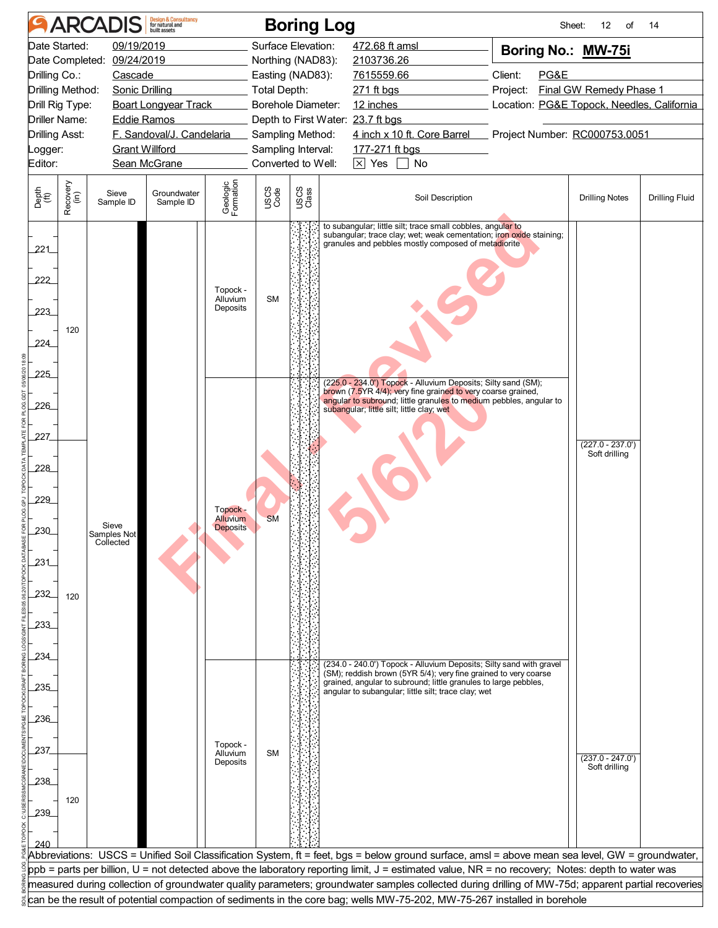| <b>Design &amp; Consultancy</b><br>for natural and<br><b>ARCADIS</b>                                                                             |                                            |                                   |                           |                                                |                   | <b>Boring Log</b>                 |                                                                                                                                                                                                                                                                                                                                                                                                                                               |                                            | Sheet:<br>$12 \overline{ }$<br>of   | 14                    |
|--------------------------------------------------------------------------------------------------------------------------------------------------|--------------------------------------------|-----------------------------------|---------------------------|------------------------------------------------|-------------------|-----------------------------------|-----------------------------------------------------------------------------------------------------------------------------------------------------------------------------------------------------------------------------------------------------------------------------------------------------------------------------------------------------------------------------------------------------------------------------------------------|--------------------------------------------|-------------------------------------|-----------------------|
|                                                                                                                                                  | Date Started:                              | 09/19/2019                        |                           |                                                |                   | Surface Elevation:                | 472.68 ft amsl                                                                                                                                                                                                                                                                                                                                                                                                                                | Boring No.: MW-75i                         |                                     |                       |
| Date Completed: 09/24/2019                                                                                                                       |                                            |                                   |                           |                                                | Northing (NAD83): | 2103736.26                        |                                                                                                                                                                                                                                                                                                                                                                                                                                               |                                            |                                     |                       |
| Drilling Co.:                                                                                                                                    |                                            | Cascade                           |                           |                                                |                   | Easting (NAD83):                  | 7615559.66                                                                                                                                                                                                                                                                                                                                                                                                                                    | Client:<br>PG&E                            |                                     |                       |
|                                                                                                                                                  | Drilling Method:                           | Sonic Drilling                    |                           |                                                | Total Depth:      |                                   | 271 ft bgs                                                                                                                                                                                                                                                                                                                                                                                                                                    | Project:<br>Final GW Remedy Phase 1        |                                     |                       |
|                                                                                                                                                  | Drill Rig Type:                            |                                   | Boart Longyear Track      |                                                |                   | Borehole Diameter:                | 12 inches                                                                                                                                                                                                                                                                                                                                                                                                                                     | Location: PG&E Topock, Needles, California |                                     |                       |
|                                                                                                                                                  | <b>Driller Name:</b><br><b>Eddie Ramos</b> |                                   |                           |                                                |                   | Depth to First Water: 23.7 ft bgs |                                                                                                                                                                                                                                                                                                                                                                                                                                               |                                            |                                     |                       |
| <b>Drilling Asst:</b>                                                                                                                            |                                            |                                   | F. Sandoval/J. Candelaria |                                                |                   | Sampling Method:                  | 4 inch x 10 ft. Core Barrel                                                                                                                                                                                                                                                                                                                                                                                                                   | Project Number: RC000753.0051              |                                     |                       |
|                                                                                                                                                  | <b>Grant Willford</b><br>_ogger:           |                                   |                           |                                                |                   | Sampling Interval:                | 177-271 ft bgs                                                                                                                                                                                                                                                                                                                                                                                                                                |                                            |                                     |                       |
| Converted to Well:<br>Editor:<br>Sean McGrane                                                                                                    |                                            |                                   |                           |                                                |                   |                                   | $\times$ Yes<br>No                                                                                                                                                                                                                                                                                                                                                                                                                            |                                            |                                     |                       |
| Depth<br>(ft)                                                                                                                                    | Recovery<br>(in)                           | Sieve<br>Sample ID                | Groundwater<br>Sample ID  | Geologic<br>Formation                          | USCS<br>Code      | USCS<br>Class                     | Soil Description                                                                                                                                                                                                                                                                                                                                                                                                                              |                                            | <b>Drilling Notes</b>               | <b>Drilling Fluid</b> |
| 221<br>222<br>223<br>224<br>225<br>226                                                                                                           | 120                                        |                                   |                           | Topock -<br>Alluvium<br>Deposits               | <b>SM</b>         |                                   | to subangular; little silt; trace small cobbles, angular to<br>subangular; trace clay; wet; weak cementation; iron oxide staining;<br>granules and pebbles mostly composed of metadiorite<br>(225.0 - 234.0') Topock - Alluvium Deposits; Silty sand (SM);<br>brown (7.5YR 4/4); very fine grained to very coarse grained,<br>angular to subround; little granules to medium pebbles, angular to<br>subangular; little silt; little clay; wet |                                            |                                     |                       |
| 227<br>228<br>229<br>230<br>231<br>232<br>233                                                                                                    | 120                                        | Sieve<br>Samples Not<br>Collected |                           | Topock -<br><b>Alluvium</b><br><b>Deposits</b> | <b>SM</b>         |                                   |                                                                                                                                                                                                                                                                                                                                                                                                                                               |                                            | $(227.0 - 237.0')$<br>Soft drilling |                       |
| 234<br>235<br>236<br>237<br>238                                                                                                                  |                                            |                                   |                           | Topock -<br>Alluvium<br>Deposits               | <b>SM</b>         |                                   | (234.0 - 240.0') Topock - Alluvium Deposits; Silty sand with gravel<br>(SM); reddish brown (5YR 5/4); very fine grained to very coarse<br>grained, angular to subround; little granules to large pebbles,<br>angular to subangular; little silt; trace clay; wet                                                                                                                                                                              |                                            | $(237.0 - 247.0)$<br>Soft drilling  |                       |
| 239                                                                                                                                              | 120                                        |                                   |                           |                                                |                   |                                   | Abbreviations: USCS = Unified Soil Classification System, ft = feet, bgs = below ground surface, amsl = above mean sea level, GW = groundwater,                                                                                                                                                                                                                                                                                               |                                            |                                     |                       |
| ppb = parts per billion, U = not detected above the laboratory reporting limit, J = estimated value, NR = no recovery; Notes: depth to water was |                                            |                                   |                           |                                                |                   |                                   |                                                                                                                                                                                                                                                                                                                                                                                                                                               |                                            |                                     |                       |
|                                                                                                                                                  |                                            |                                   |                           |                                                |                   |                                   | measured during collection of groundwater quality parameters; groundwater samples collected during drilling of MW-75d; apparent partial recoveries                                                                                                                                                                                                                                                                                            |                                            |                                     |                       |
| can be the result of potential compaction of sediments in the core bag; wells MW-75-202, MW-75-267 installed in borehole                         |                                            |                                   |                           |                                                |                   |                                   |                                                                                                                                                                                                                                                                                                                                                                                                                                               |                                            |                                     |                       |
|                                                                                                                                                  |                                            |                                   |                           |                                                |                   |                                   |                                                                                                                                                                                                                                                                                                                                                                                                                                               |                                            |                                     |                       |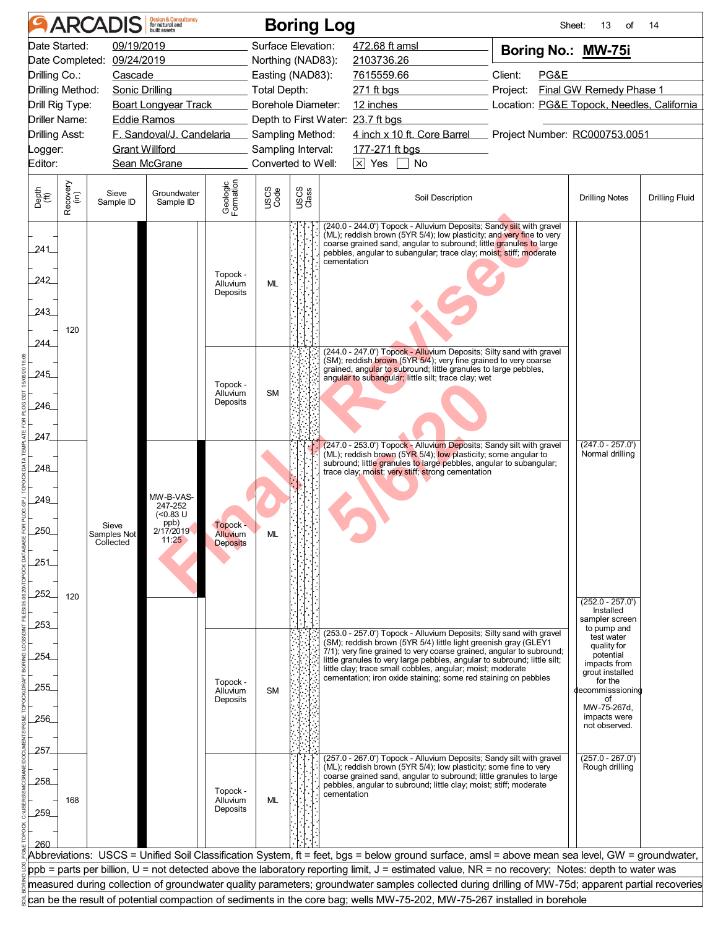| <b>Design &amp; Consultancy</b><br>for natural and<br><b>ARCADIS</b><br><b>Boring Log</b><br>Sheet:<br>13<br>οf<br>14                                                                                                                                                                               |                                                                                                                          |                                   |                                  |                                         |              |                    |                                                                                                                                                                                                                                                                                                        |                                            |                                             |                       |  |
|-----------------------------------------------------------------------------------------------------------------------------------------------------------------------------------------------------------------------------------------------------------------------------------------------------|--------------------------------------------------------------------------------------------------------------------------|-----------------------------------|----------------------------------|-----------------------------------------|--------------|--------------------|--------------------------------------------------------------------------------------------------------------------------------------------------------------------------------------------------------------------------------------------------------------------------------------------------------|--------------------------------------------|---------------------------------------------|-----------------------|--|
| 09/19/2019<br>Surface Elevation:<br>Date Started:<br>472.68 ft amsl<br>Boring No.: MW-75i                                                                                                                                                                                                           |                                                                                                                          |                                   |                                  |                                         |              |                    |                                                                                                                                                                                                                                                                                                        |                                            |                                             |                       |  |
|                                                                                                                                                                                                                                                                                                     | Date Completed: 09/24/2019                                                                                               |                                   |                                  |                                         |              | Northing (NAD83):  | 2103736.26                                                                                                                                                                                                                                                                                             |                                            |                                             |                       |  |
|                                                                                                                                                                                                                                                                                                     | Drilling Co.:<br>Cascade                                                                                                 |                                   |                                  |                                         |              | Easting (NAD83):   | 7615559.66                                                                                                                                                                                                                                                                                             | Client:<br>PG&E                            |                                             |                       |  |
|                                                                                                                                                                                                                                                                                                     | Drilling Method:<br>Sonic Drilling                                                                                       |                                   |                                  |                                         |              | Total Depth:       | 271 ft bgs                                                                                                                                                                                                                                                                                             | Project:<br>Final GW Remedy Phase 1        |                                             |                       |  |
|                                                                                                                                                                                                                                                                                                     | <b>Boart Longyear Track</b><br>Drill Rig Type:                                                                           |                                   |                                  |                                         |              | Borehole Diameter: | 12 inches                                                                                                                                                                                                                                                                                              | Location: PG&E Topock, Needles, California |                                             |                       |  |
|                                                                                                                                                                                                                                                                                                     | <b>Driller Name:</b>                                                                                                     | Eddie Ramos                       |                                  |                                         |              |                    | Depth to First Water: 23.7 ft bgs                                                                                                                                                                                                                                                                      |                                            |                                             |                       |  |
| Drilling Asst:                                                                                                                                                                                                                                                                                      |                                                                                                                          |                                   | F. Sandoval/J. Candelaria        |                                         |              | Sampling Method:   | 4 inch x 10 ft. Core Barrel                                                                                                                                                                                                                                                                            | Project Number: RC000753.0051              |                                             |                       |  |
|                                                                                                                                                                                                                                                                                                     | <b>Grant Willford</b><br>Logger:                                                                                         |                                   |                                  |                                         |              | Sampling Interval: | 177-271 ft bgs                                                                                                                                                                                                                                                                                         |                                            |                                             |                       |  |
| Editor:                                                                                                                                                                                                                                                                                             |                                                                                                                          |                                   | Sean McGrane                     |                                         |              | Converted to Well: | $\boxtimes$ Yes $\Box$ No                                                                                                                                                                                                                                                                              |                                            |                                             |                       |  |
|                                                                                                                                                                                                                                                                                                     |                                                                                                                          |                                   |                                  |                                         |              |                    |                                                                                                                                                                                                                                                                                                        |                                            |                                             |                       |  |
| Depth<br>(ft)                                                                                                                                                                                                                                                                                       | Recovery<br>(in)                                                                                                         | Sieve<br>Sample ID                | Groundwater<br>Sample ID         | Geologic<br>Formation                   | USCS<br>Code | USCS<br>Class      | Soil Description                                                                                                                                                                                                                                                                                       |                                            | <b>Drilling Notes</b>                       | <b>Drilling Fluid</b> |  |
| 241_<br>242<br>243<br>244                                                                                                                                                                                                                                                                           | 120                                                                                                                      |                                   |                                  | Topock -<br>Alluvium<br>Deposits        | <b>ML</b>    |                    | (240.0 - 244.0') Topock - Alluvium Deposits; Sandy silt with gravel<br>(ML); reddish brown (5YR 5/4); low plasticity; and very fine to very<br>coarse grained sand, angular to subround; little granules to large<br>pebbles, angular to subangular; trace clay; moist; stiff; moderate<br>cementation |                                            |                                             |                       |  |
|                                                                                                                                                                                                                                                                                                     |                                                                                                                          |                                   |                                  |                                         |              |                    | (244.0 - 247.0') Topock - Alluvium Deposits; Silty sand with gravel<br>(SM); reddish brown (5YR 5/4); very fine grained to very coarse                                                                                                                                                                 |                                            |                                             |                       |  |
| 245                                                                                                                                                                                                                                                                                                 |                                                                                                                          |                                   |                                  |                                         |              |                    | grained, angular to subround; little granules to large pebbles,<br>angular to subangular; little silt; trace clay; wet                                                                                                                                                                                 |                                            |                                             |                       |  |
|                                                                                                                                                                                                                                                                                                     |                                                                                                                          |                                   |                                  | Topock -<br>Alluvium                    | <b>SM</b>    |                    |                                                                                                                                                                                                                                                                                                        |                                            |                                             |                       |  |
| 246                                                                                                                                                                                                                                                                                                 |                                                                                                                          |                                   |                                  | Deposits                                |              |                    |                                                                                                                                                                                                                                                                                                        |                                            |                                             |                       |  |
| 247                                                                                                                                                                                                                                                                                                 |                                                                                                                          |                                   |                                  |                                         |              |                    | (247.0 - 253.0') Topock - Alluvium Deposits; Sandy silt with gravel                                                                                                                                                                                                                                    |                                            | $(247.0 - 257.0')$                          |                       |  |
| 248                                                                                                                                                                                                                                                                                                 |                                                                                                                          |                                   |                                  |                                         |              |                    | (ML); reddish brown (5YR 5/4); low plasticity; some angular to<br>subround; little granules to large pebbles, angular to subangular;                                                                                                                                                                   |                                            | Normal drilling                             |                       |  |
| 249                                                                                                                                                                                                                                                                                                 |                                                                                                                          |                                   | MW-B-VAS-<br>247-252<br>(<0.83 U |                                         |              |                    | trace clay; moist; very stiff; strong cementation                                                                                                                                                                                                                                                      |                                            |                                             |                       |  |
| 250                                                                                                                                                                                                                                                                                                 |                                                                                                                          | Sieve<br>Samples Not<br>Collected | ppb)<br>2/17/2019<br>11:25       | Topock -<br>Alluvium<br><b>Deposits</b> |              |                    |                                                                                                                                                                                                                                                                                                        |                                            |                                             |                       |  |
| 251                                                                                                                                                                                                                                                                                                 |                                                                                                                          |                                   |                                  |                                         |              |                    |                                                                                                                                                                                                                                                                                                        |                                            |                                             |                       |  |
|                                                                                                                                                                                                                                                                                                     |                                                                                                                          |                                   |                                  |                                         |              |                    |                                                                                                                                                                                                                                                                                                        |                                            |                                             |                       |  |
| 252                                                                                                                                                                                                                                                                                                 | 120                                                                                                                      |                                   |                                  |                                         |              |                    |                                                                                                                                                                                                                                                                                                        |                                            | $(252.0 - 257.0')$<br>Installed             |                       |  |
| 253                                                                                                                                                                                                                                                                                                 |                                                                                                                          |                                   |                                  |                                         |              |                    | (253.0 - 257.0') Topock - Alluvium Deposits; Silty sand with gravel                                                                                                                                                                                                                                    |                                            | sampler screen<br>to pump and<br>test water |                       |  |
|                                                                                                                                                                                                                                                                                                     |                                                                                                                          |                                   |                                  |                                         |              |                    | (SM); reddish brown (5YR 5/4) little light greenish gray (GLEY1<br>$7/1$ ; very fine grained to very coarse grained, angular to subround;                                                                                                                                                              |                                            | quality for                                 |                       |  |
| 254                                                                                                                                                                                                                                                                                                 |                                                                                                                          |                                   |                                  |                                         |              |                    | little granules to very large pebbles, angular to subround; little silt;                                                                                                                                                                                                                               |                                            | potential<br>impacts from                   |                       |  |
|                                                                                                                                                                                                                                                                                                     |                                                                                                                          |                                   |                                  | Topock -                                |              |                    | little clay; trace small cobbles, angular; moist; moderate<br>cementation; iron oxide staining; some red staining on pebbles                                                                                                                                                                           |                                            | grout installed<br>for the                  |                       |  |
| 255                                                                                                                                                                                                                                                                                                 |                                                                                                                          |                                   |                                  | Alluvium<br>Deposits                    | <b>SM</b>    |                    |                                                                                                                                                                                                                                                                                                        |                                            | decommisssioning<br>of                      |                       |  |
|                                                                                                                                                                                                                                                                                                     |                                                                                                                          |                                   |                                  |                                         |              |                    |                                                                                                                                                                                                                                                                                                        |                                            | MW-75-267d,                                 |                       |  |
| 256                                                                                                                                                                                                                                                                                                 |                                                                                                                          |                                   |                                  |                                         |              |                    |                                                                                                                                                                                                                                                                                                        |                                            | impacts were<br>not observed.               |                       |  |
|                                                                                                                                                                                                                                                                                                     |                                                                                                                          |                                   |                                  |                                         |              |                    |                                                                                                                                                                                                                                                                                                        |                                            |                                             |                       |  |
| 257.                                                                                                                                                                                                                                                                                                |                                                                                                                          |                                   |                                  |                                         |              |                    | (257.0 - 267.0') Topock - Alluvium Deposits; Sandy silt with gravel                                                                                                                                                                                                                                    |                                            | $(257.0 - 267.0')$                          |                       |  |
|                                                                                                                                                                                                                                                                                                     |                                                                                                                          |                                   |                                  |                                         |              |                    | (ML); reddish brown (5YR 5/4); low plasticity; some fine to very<br>coarse grained sand, angular to subround; little granules to large                                                                                                                                                                 |                                            | Rough drilling                              |                       |  |
| 258                                                                                                                                                                                                                                                                                                 |                                                                                                                          |                                   |                                  | Topock -                                |              |                    | pebbles, angular to subround; little clay; moist; stiff; moderate                                                                                                                                                                                                                                      |                                            |                                             |                       |  |
|                                                                                                                                                                                                                                                                                                     | 168                                                                                                                      |                                   |                                  | Alluvium                                | <b>ML</b>    |                    | cementation                                                                                                                                                                                                                                                                                            |                                            |                                             |                       |  |
| 259                                                                                                                                                                                                                                                                                                 |                                                                                                                          |                                   |                                  | Deposits                                |              |                    |                                                                                                                                                                                                                                                                                                        |                                            |                                             |                       |  |
|                                                                                                                                                                                                                                                                                                     |                                                                                                                          |                                   |                                  |                                         |              |                    |                                                                                                                                                                                                                                                                                                        |                                            |                                             |                       |  |
|                                                                                                                                                                                                                                                                                                     |                                                                                                                          |                                   |                                  |                                         |              |                    |                                                                                                                                                                                                                                                                                                        |                                            |                                             |                       |  |
| Abbreviations: USCS = Unified Soil Classification System, ft = feet, bgs = below ground surface, amsl = above mean sea level, GW = groundwater,<br>ppb = parts per billion, U = not detected above the laboratory reporting limit, J = estimated value, NR = no recovery; Notes: depth to water was |                                                                                                                          |                                   |                                  |                                         |              |                    |                                                                                                                                                                                                                                                                                                        |                                            |                                             |                       |  |
| measured during collection of groundwater quality parameters; groundwater samples collected during drilling of MW-75d; apparent partial recoveries                                                                                                                                                  |                                                                                                                          |                                   |                                  |                                         |              |                    |                                                                                                                                                                                                                                                                                                        |                                            |                                             |                       |  |
|                                                                                                                                                                                                                                                                                                     |                                                                                                                          |                                   |                                  |                                         |              |                    |                                                                                                                                                                                                                                                                                                        |                                            |                                             |                       |  |
|                                                                                                                                                                                                                                                                                                     | can be the result of potential compaction of sediments in the core bag; wells MW-75-202, MW-75-267 installed in borehole |                                   |                                  |                                         |              |                    |                                                                                                                                                                                                                                                                                                        |                                            |                                             |                       |  |